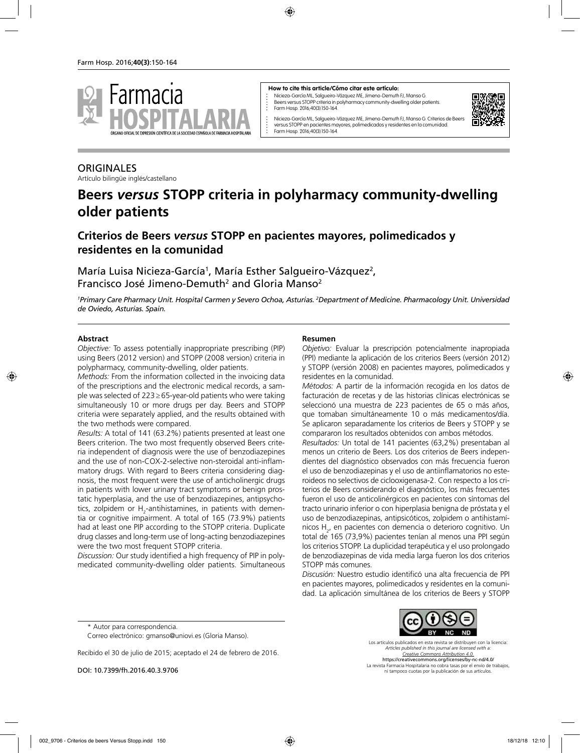

#### **How to cite this article/Cómo citar este artículo:**

Nicieza-García ML, Salgueiro-Vázquez ME, Jimeno-Demuth FJ, Manso G. Beers versus STOPP criteria in polyharmacy community-dwelling older patients. Farm Hosp. 2016;40(3):150-164.



Nicieza-García ML, Salgueiro-Vázquez ME, Jimeno-Demuth FJ, Manso G. Criterios de Beers versus STOPP en pacientes mayores, polimedicados y residentes en la comunidad. Farm Hosp. 2016;40(3):150-164.

# **ORIGINALES**

Artículo bilingüe inglés/castellano

# **Beers** *versus* **STOPP criteria in polyharmacy community-dwelling older patients**

# **Criterios de Beers** *versus* **STOPP en pacientes mayores, polimedicados y residentes en la comunidad**

María Luisa Nicieza-García<sup>1</sup>, María Esther Salgueiro-Vázquez<sup>2</sup>, Francisco José Jimeno-Demuth<sup>2</sup> and Gloria Manso<sup>2</sup>

*1 Primary Care Pharmacy Unit. Hospital Carmen y Severo Ochoa, Asturias. 2 Department of Medicine. Pharmacology Unit. Universidad de Oviedo, Asturias. Spain.*

#### **Abstract**

*Objective:* To assess potentially inappropriate prescribing (PIP) using Beers (2012 version) and STOPP (2008 version) criteria in polypharmacy, community-dwelling, older patients.

*Methods:* From the information collected in the invoicing data of the prescriptions and the electronic medical records, a sample was selected of 223≥65-year-old patients who were taking simultaneously 10 or more drugs per day. Beers and STOPP criteria were separately applied, and the results obtained with the two methods were compared.

*Results:* A total of 141 (63.2%) patients presented at least one Beers criterion. The two most frequently observed Beers criteria independent of diagnosis were the use of benzodiazepines and the use of non-COX-2-selective non-steroidal anti-inflammatory drugs. With regard to Beers criteria considering diagnosis, the most frequent were the use of anticholinergic drugs in patients with lower urinary tract symptoms or benign prostatic hyperplasia, and the use of benzodiazepines, antipsychotics, zolpidem or  $\mathsf{H}_2$ -antihistamines, in patients with dementia or cognitive impairment. A total of 165 (73.9%) patients had at least one PIP according to the STOPP criteria. Duplicate drug classes and long-term use of long-acting benzodiazepines were the two most frequent STOPP criteria.

*Discussion:* Our study identified a high frequency of PIP in polymedicated community-dwelling older patients. Simultaneous

#### **Resumen**

*Objetivo:* Evaluar la prescripción potencialmente inapropiada (PPI) mediante la aplicación de los criterios Beers (versión 2012) y STOPP (versión 2008) en pacientes mayores, polimedicados y residentes en la comunidad.

*Métodos:* A partir de la información recogida en los datos de facturación de recetas y de las historias clínicas electrónicas se seleccionó una muestra de 223 pacientes de 65 o más años, que tomaban simultáneamente 10 o más medicamentos/día. Se aplicaron separadamente los criterios de Beers y STOPP y se compararon los resultados obtenidos con ambos métodos.

*Resultados:* Un total de 141 pacientes (63,2%) presentaban al menos un criterio de Beers. Los dos criterios de Beers independientes del diagnóstico observados con más frecuencia fueron el uso de benzodiazepinas y el uso de antiinflamatorios no esteroideos no selectivos de ciclooxigenasa-2. Con respecto a los criterios de Beers considerando el diagnóstico, los más frecuentes fueron el uso de anticolinérgicos en pacientes con síntomas del tracto urinario inferior o con hiperplasia benigna de próstata y el uso de benzodiazepinas, antipsicóticos, zolpidem o antihistamínicos H<sub>2</sub>, en pacientes con demencia o deterioro cognitivo. Un total de 165 (73,9%) pacientes tenían al menos una PPI según los criterios STOPP. La duplicidad terapéutica y el uso prolongado de benzodiazepinas de vida media larga fueron los dos criterios STOPP más comunes.

*Discusión:* Nuestro estudio identificó una alta frecuencia de PPI en pacientes mayores, polimedicados y residentes en la comunidad. La aplicación simultánea de los criterios de Beers y STOPP

\* Autor para correspondencia.

Recibido el 30 de julio de 2015; aceptado el 24 de febrero de 2016.

DOI: 10.7399/fh.2016.40.3.9706

Los artículos publicados en esta revista se distribuyen con la licencia: *Articles published in this journal are licensed with a: Creative Commons Attribution 4.0.* https://creativecommons.org/licenses/by-nc-nd/4.0/ La revista Farmacia Hospitalaria no cobra tasas por el envío de trabajos, ni tampoco cuotas por la publicación de sus artículos.

Correo electrónico: gmanso@uniovi.es (Gloria Manso).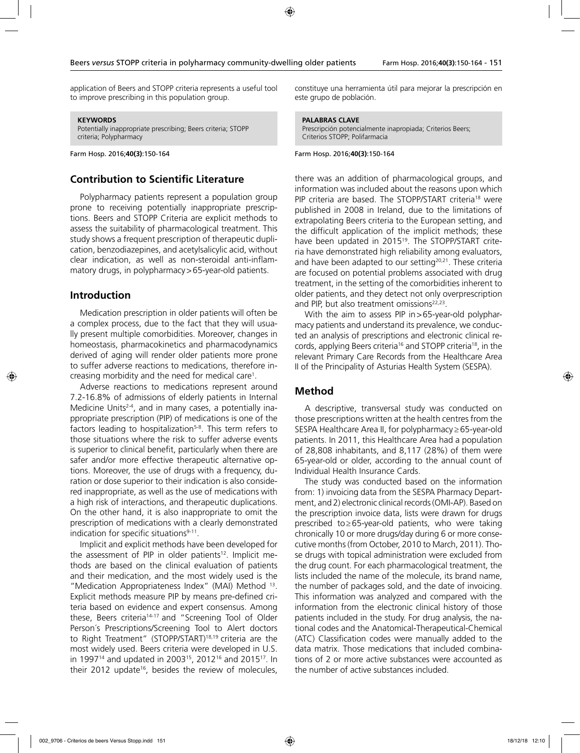application of Beers and STOPP criteria represents a useful tool to improve prescribing in this population group.

**KEYWORDS** Potentially inappropriate prescribing; Beers criteria; STOPP criteria; Polypharmacy

Farm Hosp. 2016;**40(3)**:150-164

#### **Contribution to Scientific Literature**

Polypharmacy patients represent a population group prone to receiving potentially inappropriate prescriptions. Beers and STOPP Criteria are explicit methods to assess the suitability of pharmacological treatment. This study shows a frequent prescription of therapeutic duplication, benzodiazepines, and acetylsalicylic acid, without clear indication, as well as non-steroidal anti-inflammatory drugs, in polypharmacy > 65-year-old patients.

#### **Introduction**

Medication prescription in older patients will often be a complex process, due to the fact that they will usually present multiple comorbidities. Moreover, changes in homeostasis, pharmacokinetics and pharmacodynamics derived of aging will render older patients more prone to suffer adverse reactions to medications, therefore increasing morbidity and the need for medical care1 .

Adverse reactions to medications represent around 7.2-16.8% of admissions of elderly patients in Internal Medicine Units<sup>2-4</sup>, and in many cases, a potentially inappropriate prescription (PIP) of medications is one of the factors leading to hospitalization<sup>5-8</sup>. This term refers to those situations where the risk to suffer adverse events is superior to clinical benefit, particularly when there are safer and/or more effective therapeutic alternative options. Moreover, the use of drugs with a frequency, duration or dose superior to their indication is also considered inappropriate, as well as the use of medications with a high risk of interactions, and therapeutic duplications. On the other hand, it is also inappropriate to omit the prescription of medications with a clearly demonstrated indication for specific situations $9-11$ .

Implicit and explicit methods have been developed for the assessment of PIP in older patients<sup>12</sup>. Implicit methods are based on the clinical evaluation of patients and their medication, and the most widely used is the "Medication Appropriateness Index" (MAI) Method 13. Explicit methods measure PIP by means pre-defined criteria based on evidence and expert consensus. Among these, Beers criteria<sup>14-17</sup> and "Screening Tool of Older Person´s Prescriptions/Screening Tool to Alert doctors to Right Treatment" (STOPP/START)18,19 criteria are the most widely used. Beers criteria were developed in U.S. in 1997<sup>14</sup> and updated in 2003<sup>15</sup>, 2012<sup>16</sup> and 2015<sup>17</sup>. In their 2012 update<sup>16</sup>, besides the review of molecules,

constituye una herramienta útil para mejorar la prescripción en este grupo de población.

#### **PALABRAS CLAVE**

Prescripción potencialmente inapropiada; Criterios Beers; Criterios STOPP; Polifarmacia

Farm Hosp. 2016;**40(3)**:150-164

there was an addition of pharmacological groups, and information was included about the reasons upon which PIP criteria are based. The STOPP/START criteria<sup>18</sup> were published in 2008 in Ireland, due to the limitations of extrapolating Beers criteria to the European setting, and the difficult application of the implicit methods; these have been updated in 2015<sup>19</sup>. The STOPP/START criteria have demonstrated high reliability among evaluators, and have been adapted to our setting $20,21$ . These criteria are focused on potential problems associated with drug treatment, in the setting of the comorbidities inherent to older patients, and they detect not only overprescription and PIP, but also treatment omissions<sup>22,23</sup>.

With the aim to assess PIP in > 65-year-old polypharmacy patients and understand its prevalence, we conducted an analysis of prescriptions and electronic clinical records, applying Beers criteria16 and STOPP criteria18, in the relevant Primary Care Records from the Healthcare Area II of the Principality of Asturias Health System (SESPA).

#### **Method**

A descriptive, transversal study was conducted on those prescriptions written at the health centres from the SESPA Healthcare Area II, for polypharmacy≥65-year-old patients. In 2011, this Healthcare Area had a population of 28,808 inhabitants, and 8,117 (28%) of them were 65-year-old or older, according to the annual count of Individual Health Insurance Cards.

The study was conducted based on the information from: 1) invoicing data from the SESPA Pharmacy Department, and 2) electronic clinical records (OMI-AP). Based on the prescription invoice data, lists were drawn for drugs prescribed to≥65-year-old patients, who were taking chronically 10 or more drugs/day during 6 or more consecutive months (from October, 2010 to March, 2011). Those drugs with topical administration were excluded from the drug count. For each pharmacological treatment, the lists included the name of the molecule, its brand name, the number of packages sold, and the date of invoicing. This information was analyzed and compared with the information from the electronic clinical history of those patients included in the study. For drug analysis, the national codes and the Anatomical-Therapeutical-Chemical (ATC) Classification codes were manually added to the data matrix. Those medications that included combinations of 2 or more active substances were accounted as the number of active substances included.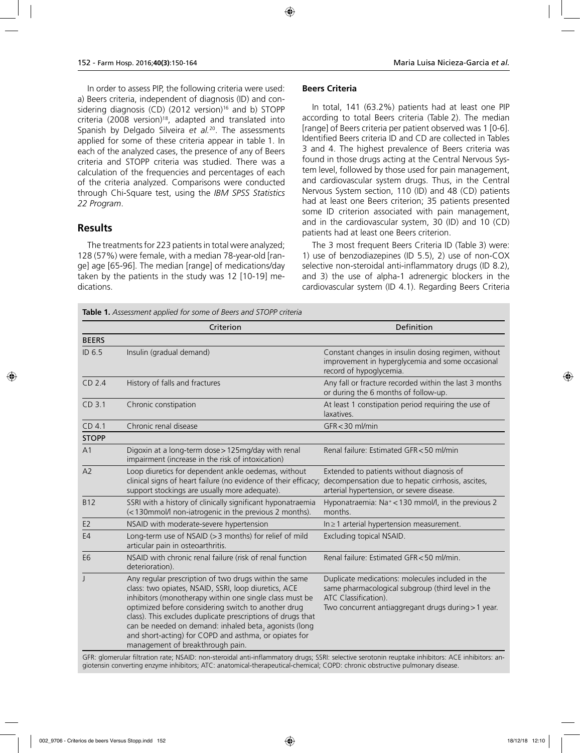In order to assess PIP, the following criteria were used: a) Beers criteria, independent of diagnosis (ID) and considering diagnosis (CD) (2012 version)<sup>16</sup> and b) STOPP criteria (2008 version)<sup>18</sup>, adapted and translated into Spanish by Delgado Silveira *et al.*20. The assessments applied for some of these criteria appear in table 1. In each of the analyzed cases, the presence of any of Beers criteria and STOPP criteria was studied. There was a calculation of the frequencies and percentages of each of the criteria analyzed. Comparisons were conducted through Chi-Square test, using the *IBM SPSS Statistics 22 Program*.

#### **Results**

The treatments for 223 patients in total were analyzed; 128 (57%) were female, with a median 78-year-old [range] age [65-96]. The median [range] of medications/day taken by the patients in the study was 12 [10-19] medications.

#### **Beers Criteria**

In total, 141 (63.2%) patients had at least one PIP according to total Beers criteria (Table 2). The median [range] of Beers criteria per patient observed was 1 [0-6]. Identified Beers criteria ID and CD are collected in Tables 3 and 4. The highest prevalence of Beers criteria was found in those drugs acting at the Central Nervous System level, followed by those used for pain management, and cardiovascular system drugs. Thus, in the Central Nervous System section, 110 (ID) and 48 (CD) patients had at least one Beers criterion; 35 patients presented some ID criterion associated with pain management, and in the cardiovascular system, 30 (ID) and 10 (CD) patients had at least one Beers criterion.

The 3 most frequent Beers Criteria ID (Table 3) were: 1) use of benzodiazepines (ID 5.5), 2) use of non-COX selective non-steroidal anti-inflammatory drugs (ID 8.2), and 3) the use of alpha-1 adrenergic blockers in the cardiovascular system (ID 4.1). Regarding Beers Criteria

|                   | Criterion                                                                                                                                                                                                                                                                                                                                                                                                                                            | Definition                                                                                                                                                                           |
|-------------------|------------------------------------------------------------------------------------------------------------------------------------------------------------------------------------------------------------------------------------------------------------------------------------------------------------------------------------------------------------------------------------------------------------------------------------------------------|--------------------------------------------------------------------------------------------------------------------------------------------------------------------------------------|
| <b>BEERS</b>      |                                                                                                                                                                                                                                                                                                                                                                                                                                                      |                                                                                                                                                                                      |
| ID 6.5            | Insulin (gradual demand)                                                                                                                                                                                                                                                                                                                                                                                                                             | Constant changes in insulin dosing regimen, without<br>improvement in hyperglycemia and some occasional<br>record of hypoglycemia.                                                   |
| CD <sub>2.4</sub> | History of falls and fractures                                                                                                                                                                                                                                                                                                                                                                                                                       | Any fall or fracture recorded within the last 3 months<br>or during the 6 months of follow-up.                                                                                       |
| CD 3.1            | Chronic constipation                                                                                                                                                                                                                                                                                                                                                                                                                                 | At least 1 constipation period requiring the use of<br>laxatives.                                                                                                                    |
| CD <sub>4.1</sub> | Chronic renal disease                                                                                                                                                                                                                                                                                                                                                                                                                                | $GFR < 30$ ml/min                                                                                                                                                                    |
| <b>STOPP</b>      |                                                                                                                                                                                                                                                                                                                                                                                                                                                      |                                                                                                                                                                                      |
| A <sub>1</sub>    | Digoxin at a long-term dose > 125mg/day with renal<br>impairment (increase in the risk of intoxication)                                                                                                                                                                                                                                                                                                                                              | Renal failure: Estimated GFR < 50 ml/min                                                                                                                                             |
| A2                | Loop diuretics for dependent ankle oedemas, without<br>clinical signs of heart failure (no evidence of their efficacy;<br>support stockings are usually more adequate).                                                                                                                                                                                                                                                                              | Extended to patients without diagnosis of<br>decompensation due to hepatic cirrhosis, ascites,<br>arterial hypertension, or severe disease.                                          |
| <b>B12</b>        | SSRI with a history of clinically significant hyponatraemia<br>(<130mmol/l non-iatrogenic in the previous 2 months).                                                                                                                                                                                                                                                                                                                                 | Hyponatraemia: Na <sup>+</sup> < 130 mmol/l, in the previous 2<br>months.                                                                                                            |
| E <sub>2</sub>    | NSAID with moderate-severe hypertension                                                                                                                                                                                                                                                                                                                                                                                                              | In ≥ 1 arterial hypertension measurement.                                                                                                                                            |
| E <sub>4</sub>    | Long-term use of NSAID (> 3 months) for relief of mild<br>articular pain in osteoarthritis.                                                                                                                                                                                                                                                                                                                                                          | Excluding topical NSAID.                                                                                                                                                             |
| E <sub>6</sub>    | NSAID with chronic renal failure (risk of renal function<br>deterioration).                                                                                                                                                                                                                                                                                                                                                                          | Renal failure: Estimated GFR < 50 ml/min.                                                                                                                                            |
| $\mathbf{I}$      | Any regular prescription of two drugs within the same<br>class: two opiates, NSAID, SSRI, loop diuretics, ACE<br>inhibitors (monotherapy within one single class must be<br>optimized before considering switch to another drug<br>class). This excludes duplicate prescriptions of drugs that<br>can be needed on demand: inhaled beta, agonists (long<br>and short-acting) for COPD and asthma, or opiates for<br>management of breakthrough pain. | Duplicate medications: molecules included in the<br>same pharmacological subgroup (third level in the<br>ATC Classification).<br>Two concurrent antiaggregant drugs during > 1 year. |

GFR: glomerular filtration rate; NSAID: non-steroidal anti-inflammatory drugs; SSRI: selective serotonin reuptake inhibitors: ACE inhibitors: angiotensin converting enzyme inhibitors; ATC: anatomical-therapeutical-chemical; COPD: chronic obstructive pulmonary disease.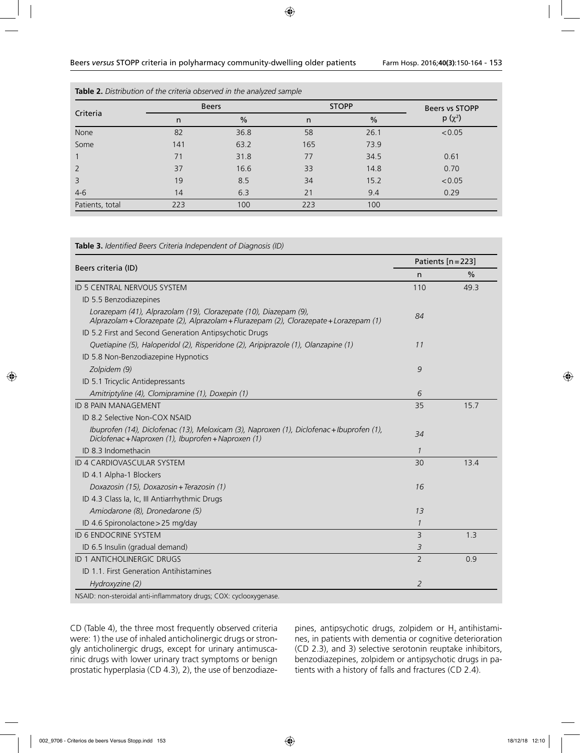|                 |                    | <b>Beers</b> | <b>STOPP</b> | Beers vs STOPP |        |
|-----------------|--------------------|--------------|--------------|----------------|--------|
| Criteria        | $\frac{0}{0}$<br>n |              | n            | $p(x^2)$       |        |
| None            | 82                 | 36.8         | 58           | 26.1           | < 0.05 |
| Some            | 141                | 63.2         | 165          | 73.9           |        |
| $\mathbf{1}$    | 71                 | 31.8         | 77           | 34.5           | 0.61   |
| 2               | 37                 | 16.6         | 33           | 14.8           | 0.70   |
| $\overline{3}$  | 19                 | 8.5          | 34           | 15.2           | < 0.05 |
| $4-6$           | 14                 | 6.3          | 21           | 9.4            | 0.29   |
| Patients, total | 223                | 100          | 223          | 100            |        |

| <b>Table 2.</b> Distribution of the criteria observed in the analyzed sample |  |  |  |  |  |  |  |  |  |
|------------------------------------------------------------------------------|--|--|--|--|--|--|--|--|--|
|------------------------------------------------------------------------------|--|--|--|--|--|--|--|--|--|

#### **Table 3.** *Identified Beers Criteria Independent of Diagnosis (ID)*

|                                                                                                                                                            |                | Patients $[n=223]$ |  |  |
|------------------------------------------------------------------------------------------------------------------------------------------------------------|----------------|--------------------|--|--|
| Beers criteria (ID)                                                                                                                                        | n              | $\frac{0}{0}$      |  |  |
| <b>ID 5 CENTRAL NERVOUS SYSTEM</b>                                                                                                                         | 110            | 49.3               |  |  |
| ID 5.5 Benzodiazepines                                                                                                                                     |                |                    |  |  |
| Lorazepam (41), Alprazolam (19), Clorazepate (10), Diazepam (9),<br>Alprazolam + Clorazepate (2), Alprazolam + Flurazepam (2), Clorazepate + Lorazepam (1) | 84             |                    |  |  |
| ID 5.2 First and Second Generation Antipsychotic Drugs                                                                                                     |                |                    |  |  |
| Quetiapine (5), Haloperidol (2), Risperidone (2), Aripiprazole (1), Olanzapine (1)                                                                         | 11             |                    |  |  |
| ID 5.8 Non-Benzodiazepine Hypnotics                                                                                                                        |                |                    |  |  |
| Zolpidem (9)                                                                                                                                               | 9              |                    |  |  |
| ID 5.1 Tricyclic Antidepressants                                                                                                                           |                |                    |  |  |
| Amitriptyline (4), Clomipramine (1), Doxepin (1)                                                                                                           | 6              |                    |  |  |
| <b>ID 8 PAIN MANAGEMENT</b>                                                                                                                                | 35             | 15.7               |  |  |
| ID 8.2 Selective Non-COX NSAID                                                                                                                             |                |                    |  |  |
| Ibuprofen (14), Diclofenac (13), Meloxicam (3), Naproxen (1), Diclofenac + Ibuprofen (1),<br>Diclofenac + Naproxen (1), Ibuprofen + Naproxen (1)           | 34             |                    |  |  |
| ID 8.3 Indomethacin                                                                                                                                        | $\mathcal{I}$  |                    |  |  |
| <b>ID 4 CARDIOVASCULAR SYSTEM</b>                                                                                                                          | 30             | 13.4               |  |  |
| ID 4.1 Alpha-1 Blockers                                                                                                                                    |                |                    |  |  |
| Doxazosin (15), Doxazosin + Terazosin (1)                                                                                                                  | 16             |                    |  |  |
| ID 4.3 Class Ia, Ic, III Antiarrhythmic Drugs                                                                                                              |                |                    |  |  |
| Amiodarone (8), Dronedarone (5)                                                                                                                            | 13             |                    |  |  |
| ID 4.6 Spironolactone > 25 mg/day                                                                                                                          | $\mathcal I$   |                    |  |  |
| <b>ID 6 ENDOCRINE SYSTEM</b>                                                                                                                               | 3              | 1.3                |  |  |
| ID 6.5 Insulin (gradual demand)                                                                                                                            | 3              |                    |  |  |
| <b>ID 1 ANTICHOLINERGIC DRUGS</b>                                                                                                                          | $\overline{2}$ | 0.9                |  |  |
| <b>ID 1.1. First Generation Antihistamines</b>                                                                                                             |                |                    |  |  |
| Hydroxyzine (2)                                                                                                                                            | 2              |                    |  |  |

CD (Table 4), the three most frequently observed criteria were: 1) the use of inhaled anticholinergic drugs or strongly anticholinergic drugs, except for urinary antimuscarinic drugs with lower urinary tract symptoms or benign prostatic hyperplasia (CD 4.3), 2), the use of benzodiaze-

pines, antipsychotic drugs, zolpidem or  $H_2$  antihistamines, in patients with dementia or cognitive deterioration (CD 2.3), and 3) selective serotonin reuptake inhibitors, benzodiazepines, zolpidem or antipsychotic drugs in patients with a history of falls and fractures (CD 2.4).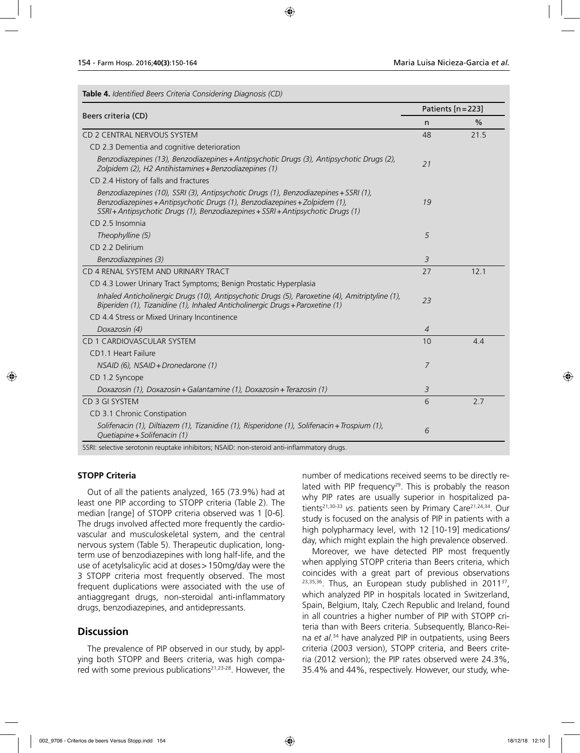| Table 4. Identified Beers Criteria Considering Diagnosis (CD) |  |  |  |  |
|---------------------------------------------------------------|--|--|--|--|
|---------------------------------------------------------------|--|--|--|--|

| Beers criteria (CD)                                                                                                                                                                                                                                    |    | Patients [n = 223] |
|--------------------------------------------------------------------------------------------------------------------------------------------------------------------------------------------------------------------------------------------------------|----|--------------------|
|                                                                                                                                                                                                                                                        | n  | $\%$               |
| CD 2 CENTRAL NERVOUS SYSTEM                                                                                                                                                                                                                            | 48 | 21.5               |
| CD 2.3 Dementia and cognitive deterioration                                                                                                                                                                                                            |    |                    |
| Benzodiazepines (13), Benzodiazepines + Antipsychotic Drugs (3), Antipsychotic Drugs (2),<br>Zolpidem (2), H2 Antihistamines + Benzodiazepines (1)                                                                                                     | 21 |                    |
| CD 2.4 History of falls and fractures                                                                                                                                                                                                                  |    |                    |
| Benzodiazepines (10), SSRI (3), Antipsychotic Drugs (1), Benzodiazepines + SSRI (1),<br>Benzodiazepines + Antipsychotic Drugs (1), Benzodiazepines + Zolpidem (1),<br>SSRI + Antipsychotic Drugs (1), Benzodiazepines + SSRI + Antipsychotic Drugs (1) | 19 |                    |
| CD 2.5 Insomnia                                                                                                                                                                                                                                        |    |                    |
| Theophylline (5)                                                                                                                                                                                                                                       | 5  |                    |
| CD 2.2 Delirium                                                                                                                                                                                                                                        |    |                    |
| Benzodiazepines (3)                                                                                                                                                                                                                                    | 3  |                    |
| CD 4 RENAL SYSTEM AND URINARY TRACT                                                                                                                                                                                                                    | 27 | 12.1               |
| CD 4.3 Lower Urinary Tract Symptoms; Benign Prostatic Hyperplasia                                                                                                                                                                                      |    |                    |
| Inhaled Anticholinergic Drugs (10), Antipsychotic Drugs (5), Paroxetine (4), Amitriptyline (1),<br>Biperiden (1), Tizanidine (1), Inhaled Anticholinergic Drugs + Paroxetine (1)                                                                       | 23 |                    |
| CD 4.4 Stress or Mixed Urinary Incontinence                                                                                                                                                                                                            |    |                    |
| Doxazosin (4)                                                                                                                                                                                                                                          | 4  |                    |
| CD 1 CARDIOVASCULAR SYSTEM                                                                                                                                                                                                                             | 10 | 4.4                |
| CD1.1 Heart Failure                                                                                                                                                                                                                                    |    |                    |
| NSAID (6), NSAID + Dronedarone (1)                                                                                                                                                                                                                     | 7  |                    |
| CD 1.2 Syncope                                                                                                                                                                                                                                         |    |                    |
| Doxazosin (1), Doxazosin + Galantamine (1), Doxazosin + Terazosin (1)                                                                                                                                                                                  | 3  |                    |
| CD 3 GI SYSTEM                                                                                                                                                                                                                                         | 6  | 2.7                |
| CD 3.1 Chronic Constipation                                                                                                                                                                                                                            |    |                    |
| Solifenacin (1), Diltiazem (1), Tizanidine (1), Risperidone (1), Solifenacin + Trospium (1),<br>Quetiapine + Solifenacin (1)                                                                                                                           | 6  |                    |

SSRI: selective serotonin reuptake inhibitors; NSAID: non-steroid anti-inflammatory drugs.

#### **STOPP Criteria**

Out of all the patients analyzed, 165 (73.9%) had at least one PIP according to STOPP criteria (Table 2). The median [range] of STOPP criteria observed was 1 [0-6]. The drugs involved affected more frequently the cardiovascular and musculoskeletal system, and the central nervous system (Table 5). Therapeutic duplication, longterm use of benzodiazepines with long half-life, and the use of acetylsalicylic acid at doses>150mg/day were the 3 STOPP criteria most frequently observed. The most frequent duplications were associated with the use of antiaggregant drugs, non-steroidal anti-inflammatory drugs, benzodiazepines, and antidepressants.

#### **Discussion**

The prevalence of PIP observed in our study, by applying both STOPP and Beers criteria, was high compared with some previous publications<sup>21,23-28</sup>. However, the number of medications received seems to be directly related with PIP frequency<sup>29</sup>. This is probably the reason why PIP rates are usually superior in hospitalized patients<sup>21,30-33</sup> vs. patients seen by Primary Care<sup>21,24,34</sup>. Our study is focused on the analysis of PIP in patients with a high polypharmacy level, with 12 [10-19] medications/ day, which might explain the high prevalence observed.

Moreover, we have detected PIP most frequently when applying STOPP criteria than Beers criteria, which coincides with a great part of previous observations <sup>23,35,36</sup>. Thus, an European study published in 2011<sup>37</sup>, which analyzed PIP in hospitals located in Switzerland, Spain, Belgium, Italy, Czech Republic and Ireland, found in all countries a higher number of PIP with STOPP criteria than with Beers criteria. Subsequently, Blanco-Reina *et al.*<sup>34</sup> have analyzed PIP in outpatients, using Beers criteria (2003 version), STOPP criteria, and Beers criteria (2012 version); the PIP rates observed were 24.3%, 35.4% and 44%, respectively. However, our study, whe-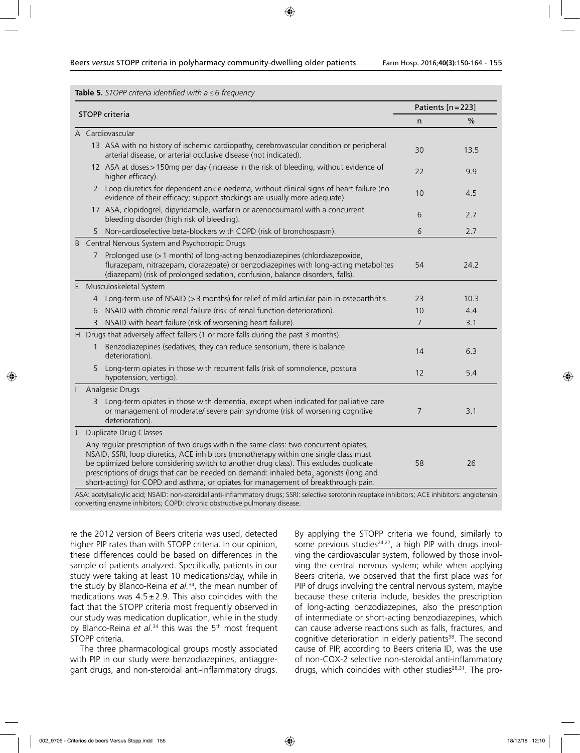| Table 5. STOPP criteria identified with $a \leq 6$ frequency |  |  |  |
|--------------------------------------------------------------|--|--|--|
|--------------------------------------------------------------|--|--|--|

|   | <b>STOPP</b> criteria<br>A Cardiovascular<br>arterial disease, or arterial occlusive disease (not indicated).<br>higher efficacy).<br>2<br>evidence of their efficacy; support stockings are usually more adequate).<br>17 ASA, clopidogrel, dipyridamole, warfarin or acenocoumarol with a concurrent<br>bleeding disorder (high risk of bleeding).<br>Non-cardioselective beta-blockers with COPD (risk of bronchospasm).<br>5.<br>Central Nervous System and Psychotropic Drugs<br>Prolonged use (> 1 month) of long-acting benzodiazepines (chlordiazepoxide,<br>7<br>(diazepam) (risk of prolonged sedation, confusion, balance disorders, falls).<br>Musculoskeletal System<br>4<br>NSAID with chronic renal failure (risk of renal function deterioration).<br>6<br>NSAID with heart failure (risk of worsening heart failure).<br>3<br>H Drugs that adversely affect fallers (1 or more falls during the past 3 months).<br>Benzodiazepines (sedatives, they can reduce sensorium, there is balance<br>deterioration).<br>Long-term opiates in those with recurrent falls (risk of somnolence, postural<br>5<br>hypotension, vertigo).<br><b>Analgesic Drugs</b> |                                                                                                                                                                                                                                                                                                                                                                                                                                                        | Patients [n = 223] |               |  |
|---|--------------------------------------------------------------------------------------------------------------------------------------------------------------------------------------------------------------------------------------------------------------------------------------------------------------------------------------------------------------------------------------------------------------------------------------------------------------------------------------------------------------------------------------------------------------------------------------------------------------------------------------------------------------------------------------------------------------------------------------------------------------------------------------------------------------------------------------------------------------------------------------------------------------------------------------------------------------------------------------------------------------------------------------------------------------------------------------------------------------------------------------------------------------------------|--------------------------------------------------------------------------------------------------------------------------------------------------------------------------------------------------------------------------------------------------------------------------------------------------------------------------------------------------------------------------------------------------------------------------------------------------------|--------------------|---------------|--|
|   |                                                                                                                                                                                                                                                                                                                                                                                                                                                                                                                                                                                                                                                                                                                                                                                                                                                                                                                                                                                                                                                                                                                                                                          |                                                                                                                                                                                                                                                                                                                                                                                                                                                        | n                  | $\frac{0}{0}$ |  |
|   |                                                                                                                                                                                                                                                                                                                                                                                                                                                                                                                                                                                                                                                                                                                                                                                                                                                                                                                                                                                                                                                                                                                                                                          |                                                                                                                                                                                                                                                                                                                                                                                                                                                        |                    |               |  |
|   |                                                                                                                                                                                                                                                                                                                                                                                                                                                                                                                                                                                                                                                                                                                                                                                                                                                                                                                                                                                                                                                                                                                                                                          | 13 ASA with no history of ischemic cardiopathy, cerebrovascular condition or peripheral                                                                                                                                                                                                                                                                                                                                                                | 30                 | 13.5          |  |
|   |                                                                                                                                                                                                                                                                                                                                                                                                                                                                                                                                                                                                                                                                                                                                                                                                                                                                                                                                                                                                                                                                                                                                                                          | 12 ASA at doses > 150mg per day (increase in the risk of bleeding, without evidence of                                                                                                                                                                                                                                                                                                                                                                 | 22                 | 9.9           |  |
|   |                                                                                                                                                                                                                                                                                                                                                                                                                                                                                                                                                                                                                                                                                                                                                                                                                                                                                                                                                                                                                                                                                                                                                                          | Loop diuretics for dependent ankle oedema, without clinical signs of heart failure (no                                                                                                                                                                                                                                                                                                                                                                 | 10                 | 4.5           |  |
|   |                                                                                                                                                                                                                                                                                                                                                                                                                                                                                                                                                                                                                                                                                                                                                                                                                                                                                                                                                                                                                                                                                                                                                                          |                                                                                                                                                                                                                                                                                                                                                                                                                                                        | 6                  | 2.7           |  |
|   |                                                                                                                                                                                                                                                                                                                                                                                                                                                                                                                                                                                                                                                                                                                                                                                                                                                                                                                                                                                                                                                                                                                                                                          |                                                                                                                                                                                                                                                                                                                                                                                                                                                        | 6                  | 2.7           |  |
| B |                                                                                                                                                                                                                                                                                                                                                                                                                                                                                                                                                                                                                                                                                                                                                                                                                                                                                                                                                                                                                                                                                                                                                                          |                                                                                                                                                                                                                                                                                                                                                                                                                                                        |                    |               |  |
|   |                                                                                                                                                                                                                                                                                                                                                                                                                                                                                                                                                                                                                                                                                                                                                                                                                                                                                                                                                                                                                                                                                                                                                                          | flurazepam, nitrazepam, clorazepate) or benzodiazepines with long-acting metabolites                                                                                                                                                                                                                                                                                                                                                                   | 54                 | 24.2          |  |
| E |                                                                                                                                                                                                                                                                                                                                                                                                                                                                                                                                                                                                                                                                                                                                                                                                                                                                                                                                                                                                                                                                                                                                                                          |                                                                                                                                                                                                                                                                                                                                                                                                                                                        |                    |               |  |
|   |                                                                                                                                                                                                                                                                                                                                                                                                                                                                                                                                                                                                                                                                                                                                                                                                                                                                                                                                                                                                                                                                                                                                                                          | Long-term use of NSAID (> 3 months) for relief of mild articular pain in osteoarthritis.                                                                                                                                                                                                                                                                                                                                                               | 23                 | 10.3          |  |
|   |                                                                                                                                                                                                                                                                                                                                                                                                                                                                                                                                                                                                                                                                                                                                                                                                                                                                                                                                                                                                                                                                                                                                                                          |                                                                                                                                                                                                                                                                                                                                                                                                                                                        | 10                 | 4.4           |  |
|   |                                                                                                                                                                                                                                                                                                                                                                                                                                                                                                                                                                                                                                                                                                                                                                                                                                                                                                                                                                                                                                                                                                                                                                          |                                                                                                                                                                                                                                                                                                                                                                                                                                                        | $\overline{7}$     | 3.1           |  |
|   |                                                                                                                                                                                                                                                                                                                                                                                                                                                                                                                                                                                                                                                                                                                                                                                                                                                                                                                                                                                                                                                                                                                                                                          |                                                                                                                                                                                                                                                                                                                                                                                                                                                        |                    |               |  |
|   |                                                                                                                                                                                                                                                                                                                                                                                                                                                                                                                                                                                                                                                                                                                                                                                                                                                                                                                                                                                                                                                                                                                                                                          |                                                                                                                                                                                                                                                                                                                                                                                                                                                        | 14                 | 6.3           |  |
|   |                                                                                                                                                                                                                                                                                                                                                                                                                                                                                                                                                                                                                                                                                                                                                                                                                                                                                                                                                                                                                                                                                                                                                                          |                                                                                                                                                                                                                                                                                                                                                                                                                                                        | 12                 | 5.4           |  |
|   |                                                                                                                                                                                                                                                                                                                                                                                                                                                                                                                                                                                                                                                                                                                                                                                                                                                                                                                                                                                                                                                                                                                                                                          |                                                                                                                                                                                                                                                                                                                                                                                                                                                        |                    |               |  |
|   | 3                                                                                                                                                                                                                                                                                                                                                                                                                                                                                                                                                                                                                                                                                                                                                                                                                                                                                                                                                                                                                                                                                                                                                                        | Long-term opiates in those with dementia, except when indicated for palliative care<br>or management of moderate/ severe pain syndrome (risk of worsening cognitive<br>deterioration).                                                                                                                                                                                                                                                                 | 7                  | 3.1           |  |
| J |                                                                                                                                                                                                                                                                                                                                                                                                                                                                                                                                                                                                                                                                                                                                                                                                                                                                                                                                                                                                                                                                                                                                                                          | <b>Duplicate Drug Classes</b>                                                                                                                                                                                                                                                                                                                                                                                                                          |                    |               |  |
|   |                                                                                                                                                                                                                                                                                                                                                                                                                                                                                                                                                                                                                                                                                                                                                                                                                                                                                                                                                                                                                                                                                                                                                                          | Any regular prescription of two drugs within the same class: two concurrent opiates,<br>NSAID, SSRI, loop diuretics, ACE inhibitors (monotherapy within one single class must<br>be optimized before considering switch to another drug class). This excludes duplicate<br>prescriptions of drugs that can be needed on demand: inhaled beta, agonists (long and<br>short-acting) for COPD and asthma, or opiates for management of breakthrough pain. | 58                 | 26            |  |

ASA: acetylsalicylic acid; NSAID: non-steroidal anti-inflammatory drugs; SSRI: selective serotonin reuptake inhibitors; ACE inhibitors: angiotensin converting enzyme inhibitors; COPD: chronic obstructive pulmonary disease.

re the 2012 version of Beers criteria was used, detected higher PIP rates than with STOPP criteria. In our opinion, these differences could be based on differences in the sample of patients analyzed. Specifically, patients in our study were taking at least 10 medications/day, while in the study by Blanco-Reina *et al.*34, the mean number of medications was  $4.5 \pm 2.9$ . This also coincides with the fact that the STOPP criteria most frequently observed in our study was medication duplication, while in the study by Blanco-Reina *et al.*<sup>34</sup> this was the 5<sup>th</sup> most frequent STOPP criteria.

The three pharmacological groups mostly associated with PIP in our study were benzodiazepines, antiaggregant drugs, and non-steroidal anti-inflammatory drugs.

By applying the STOPP criteria we found, similarly to some previous studies $24,27$ , a high PIP with drugs involving the cardiovascular system, followed by those involving the central nervous system; while when applying Beers criteria, we observed that the first place was for PIP of drugs involving the central nervous system, maybe because these criteria include, besides the prescription of long-acting benzodiazepines, also the prescription of intermediate or short-acting benzodiazepines, which can cause adverse reactions such as falls, fractures, and cognitive deterioration in elderly patients<sup>38</sup>. The second cause of PIP, according to Beers criteria ID, was the use of non-COX-2 selective non-steroidal anti-inflammatory drugs, which coincides with other studies<sup>28,31</sup>. The pro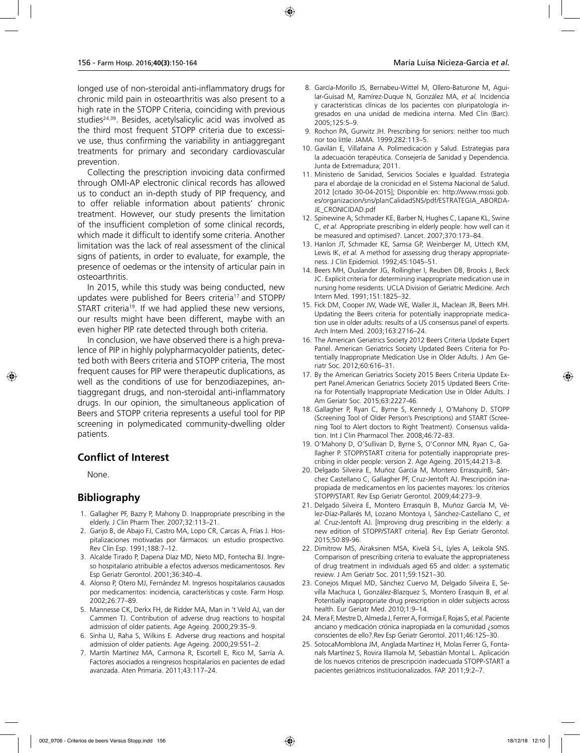longed use of non-steroidal anti-inflammatory drugs for chronic mild pain in osteoarthritis was also present to a high rate in the STOPP Criteria, coinciding with previous studies<sup>24,39</sup>. Besides, acetylsalicylic acid was involved as the third most frequent STOPP criteria due to excessive use, thus confirming the variability in antiaggregant treatments for primary and secondary cardiovascular prevention.

Collecting the prescription invoicing data confirmed through OMI-AP electronic clinical records has allowed us to conduct an in-depth study of PIP frequency, and to offer reliable information about patients' chronic treatment. However, our study presents the limitation of the insufficient completion of some clinical records, which made it difficult to identify some criteria. Another limitation was the lack of real assessment of the clinical signs of patients, in order to evaluate, for example, the presence of oedemas or the intensity of articular pain in osteoarthritis.

In 2015, while this study was being conducted, new updates were published for Beers criteria<sup>17</sup> and STOPP/ START criteria<sup>19</sup>. If we had applied these new versions, our results might have been different, maybe with an even higher PIP rate detected through both criteria.

In conclusion, we have observed there is a high prevalence of PIP in highly polypharmacyolder patients, detected both with Beers criteria and STOPP criteria, The most frequent causes for PIP were therapeutic duplications, as well as the conditions of use for benzodiazepines, antiaggregant drugs, and non-steroidal anti-inflammatory drugs. In our opinion, the simultaneous application of Beers and STOPP criteria represents a useful tool for PIP screening in polymedicated community-dwelling older patients.

## **Conflict of Interest**

None.

## **Bibliography**

- 1. Gallagher PF, Bazry P, Mahony D. Inappropriate prescribing in the elderly. J Clin Pharm Ther. 2007;32:113–21.
- 2. Garijo B, de Abajo FJ, Castro MA, Lopo CR, Carcas A, Frías J. Hospitalizaciones motivadas por fármacos: un estudio prospectivo. Rev Clin Esp. 1991;188:7–12.
- 3. Alcalde Tirado P, Dapena Díaz MD, Nieto MD, Fontecha BJ. Ingreso hospitalario atribuible a efectos adversos medicamentosos. Rev Esp Geriatr Gerontol. 2001;36:340–4.
- 4. Alonso P, Otero MJ, Fernández M. Ingresos hospitalarios causados por medicamentos: incidencia, características y coste. Farm Hosp. 2002;26:77–89.
- 5. Mannesse CK, Derkx FH, de Ridder MA, Man in 't Veld AJ, van der Cammen TJ. Contribution of adverse drug reactions to hospital admission of older patients. Age Ageing. 2000;29:35–9.
- 6. Sinha U, Raha S, Wilkins E. Adverse drug reactions and hospital admission of older patients. Age Ageing. 2000;29:551–2.
- 7. Martín Martínez MA, Carmona R, Escortell E, Rico M, Sarría A. Factores asociados a reingresos hospitalarios en pacientes de edad avanzada. Aten Primaria. 2011;43:117–24.
- 9. Rochon PA, Gurwitz JH. Prescribing for seniors: neither too much nor too little. JAMA. 1999;282:113–5.
- 10. Gavilán E, Villafaina A. Polimedicación y Salud. Estrategias para la adecuación terapéutica. Consejería de Sanidad y Dependencia. Junta de Extremadura; 2011.
- 11. Ministerio de Sanidad, Servicios Sociales e Igualdad. Estrategia para el abordaje de la cronicidad en el Sistema Nacional de Salud. 2012 [citado 30-04-2015]; Disponible en: http://www.msssi.gob. es/organizacion/sns/planCalidadSNS/pdf/ESTRATEGIA\_ABORDA-JE\_CRONICIDAD.pdf
- 12. Spinewine A, Schmader KE, Barber N, Hughes C, Lapane KL, Swine C, *et al.* Appropriate prescribing in elderly people: how well can it be measured and optimised?. Lancet. 2007;370:173–84.
- 13. Hanlon JT, Schmader KE, Samsa GP, Weinberger M, Uttech KM, Lewis IK, *et al.* A method for assessing drug therapy appropriateness. J Clin Epidemiol. 1992;45:1045–51.
- 14. Beers MH, Ouslander JG, Rollingher I, Reuben DB, Brooks J, Beck JC. Explicit criteria for determining inappropriate medication use in nursing home residents. UCLA Division of Geriatric Medicine. Arch Intern Med. 1991;151:1825–32.
- 15. Fick DM, Cooper JW, Wade WE, Waller JL, Maclean JR, Beers MH. Updating the Beers criteria for potentially inappropriate medication use in older adults: results of a US consensus panel of experts. Arch Intern Med. 2003;163:2716–24.
- 16. The American Geriatrics Society 2012 Beers Criteria Update Expert Panel. American Geriatrics Society Updated Beers Criteria for Potentially Inappropriate Medication Use in Older Adults. J Am Geriatr Soc. 2012;60:616–31.
- 17. By the American Geriatrics Society 2015 Beers Criteria Update Expert Panel.American Geriatrics Society 2015 Updated Beers Criteria for Potentially Inappropriate Medication Use in Older Adults. J Am Geriatr Soc. 2015;63:2227-46.
- 18. Gallagher P, Ryan C, Byrne S, Kennedy J, O'Mahony D. STOPP (Screening Tool of Older Person's Prescriptions) and START (Screening Tool to Alert doctors to Right Treatment). Consensus validation. Int J Clin Pharmacol Ther. 2008;46:72–83.
- 19. O'Mahony D, O'Sullivan D, Byrne S, O'Connor MN, Ryan C, Gallagher P. STOPP/START criteria for potentially inappropriate prescribing in older people: version 2. Age Ageing. 2015;44:213–8.
- 20. Delgado Silveira E, Muñoz García M, Montero ErrasquínB, Sánchez Castellano C, Gallagher PF, Cruz-Jentoft AJ. Prescripción inapropiada de medicamentos en los pacientes mayores: los criterios STOPP/START. Rev Esp Geriatr Gerontol. 2009;44:273–9.
- 21. Delgado Silveira E, Montero Errasquín B, Muñoz García M, Vélez-Díaz-Pallarés M, Lozano Montoya I, Sánchez-Castellano C, *et al.* Cruz-Jentoft AJ. [Improving drug prescribing in the elderly: a new edition of STOPP/START criteria]. Rev Esp Geriatr Gerontol. 2015;50:89-96.
- 22. Dimitrow MS, Airaksinen MSA, Kivelä S-L, Lyles A, Leikola SNS. Comparison of prescribing criteria to evaluate the appropriateness of drug treatment in individuals aged 65 and older: a systematic review. J Am Geriatr Soc. 2011;59:1521–30.
- 23. Conejos Miquel MD, Sánchez Cuervo M, Delgado Silveira E, Sevilla Machuca I, González-Blazquez S, Montero Erasquin B, *et al.* Potentially inappropriate drug prescription in older subjects across health. Eur Geriatr Med. 2010;1:9–14.
- 24. Mera F, Mestre D, Almeda J, Ferrer A, Formiga F, Rojas S, *et al.* Paciente anciano y medicación crónica inapropiada en la comunidad ¿somos conscientes de ello?.Rev Esp Geriatr Gerontol. 2011;46:125–30.
- 25. SotocaMomblona JM, Anglada Martínez H, Molas Ferrer G, Fontanals Martínez S, Rovira Illamola M, Sebastián Montal L. Aplicación de los nuevos criterios de prescripción inadecuada STOPP-START a pacientes geriátricos institucionalizados. FAP. 2011;9:2–7.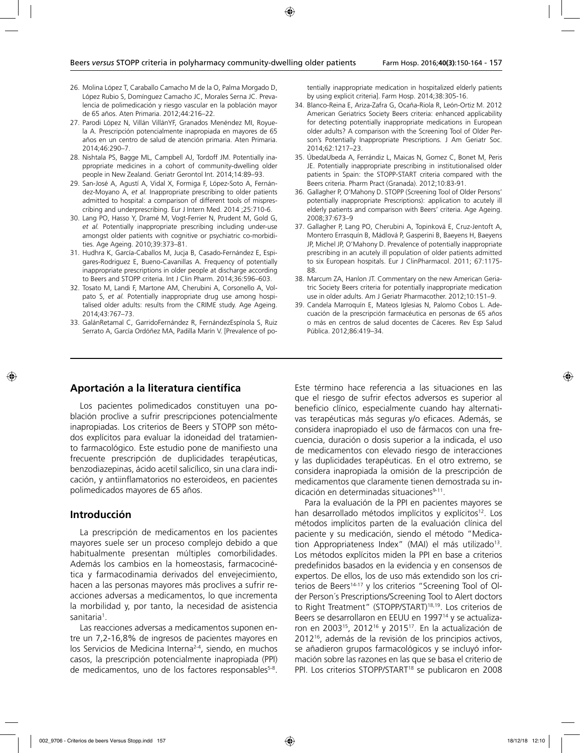- 26. Molina López T, Caraballo Camacho M de la O, Palma Morgado D, López Rubio S, Domínguez Camacho JC, Morales Serna JC. Prevalencia de polimedicación y riesgo vascular en la población mayor de 65 años. Aten Primaria. 2012;44:216–22.
- 27. Parodi López N, Villán VillánYF, Granados Menéndez MI, Royuela A. Prescripción potencialmente inapropiada en mayores de 65 años en un centro de salud de atención primaria. Aten Primaria. 2014;46:290–7.
- 28. Nishtala PS, Bagge ML, Campbell AJ, Tordoff JM. Potentially inappropriate medicines in a cohort of community-dwelling older people in New Zealand. Geriatr Gerontol Int. 2014;14:89–93.
- 29. San-José A, Agustí A, Vidal X, Formiga F, López-Soto A, Fernández-Moyano A, *et al.* Inappropriate prescribing to older patients admitted to hospital: a comparison of different tools of misprescribing and underprescribing. Eur J Intern Med. 2014 ;25:710-6.
- 30. Lang PO, Hasso Y, Dramé M, Vogt-Ferrier N, Prudent M, Gold G, *et al.* Potentially inappropriate prescribing including under-use amongst older patients with cognitive or psychiatric co-morbidities. Age Ageing. 2010;39:373–81.
- 31. Hudhra K, García-Caballos M, Jucja B, Casado-Fernández E, Espigares-Rodriguez E, Bueno-Cavanillas A. Frequency of potentially inappropriate prescriptions in older people at discharge according to Beers and STOPP criteria. Int J Clin Pharm. 2014;36:596–603.
- 32. Tosato M, Landi F, Martone AM, Cherubini A, Corsonello A, Volpato S, *et al.* Potentially inappropriate drug use among hospitalised older adults: results from the CRIME study. Age Ageing. 2014;43:767–73.
- 33. GalánRetamal C, GarridoFernández R, FernándezEspínola S, Ruiz Serrato A, García Ordóñez MA, Padilla Marín V. [Prevalence of po-

tentially inappropriate medication in hospitalized elderly patients by using explicit criteria]. Farm Hosp. 2014;38:305-16.

- 34. Blanco-Reina E, Ariza-Zafra G, Ocaña-Riola R, León-Ortiz M. 2012 American Geriatrics Society Beers criteria: enhanced applicability for detecting potentially inappropriate medications in European older adults? A comparison with the Screening Tool of Older Person's Potentially Inappropriate Prescriptions. J Am Geriatr Soc. 2014;62:1217–23.
- 35. ÚbedaUbeda A, Ferrándiz L, Maicas N, Gomez C, Bonet M, Peris JE. Potentially inappropriate prescribing in institutionalised older patients in Spain: the STOPP-START criteria compared with the Beers criteria. Pharm Pract (Granada). 2012;10:83-91.
- 36. Gallagher P, O'Mahony D. STOPP (Screening Tool of Older Persons' potentially inappropriate Prescriptions): application to acutely ill elderly patients and comparison with Beers' criteria. Age Ageing. 2008;37:673–9
- 37. Gallagher P, Lang PO, Cherubini A, Topinková E, Cruz-Jentoft A, Montero Errasquín B, Mádlová P, Gasperini B, Baeyens H, Baeyens JP, Michel JP, O'Mahony D. Prevalence of potentially inappropriate prescribing in an acutely ill population of older patients admitted to six European hospitals. Eur J ClinPharmacol. 2011; 67:1175- 88.
- 38. Marcum ZA, Hanlon JT. Commentary on the new American Geriatric Society Beers criteria for potentially inappropriate medication use in older adults. Am J Geriatr Pharmacother. 2012;10:151–9.
- 39. Candela Marroquín E, Mateos Iglesias N, Palomo Cobos L. Adecuación de la prescripción farmacéutica en personas de 65 años o más en centros de salud docentes de Cáceres. Rev Esp Salud Pública. 2012;86:419–34.

#### **Aportación a la literatura científica**

Los pacientes polimedicados constituyen una población proclive a sufrir prescripciones potencialmente inapropiadas. Los criterios de Beers y STOPP son métodos explícitos para evaluar la idoneidad del tratamiento farmacológico. Este estudio pone de manifiesto una frecuente prescripción de duplicidades terapéuticas, benzodiazepinas, ácido acetil salicílico, sin una clara indicación, y antiinflamatorios no esteroideos, en pacientes polimedicados mayores de 65 años.

#### **Introducción**

La prescripción de medicamentos en los pacientes mayores suele ser un proceso complejo debido a que habitualmente presentan múltiples comorbilidades. Además los cambios en la homeostasis, farmacocinética y farmacodinamia derivados del envejecimiento, hacen a las personas mayores más proclives a sufrir reacciones adversas a medicamentos, lo que incrementa la morbilidad y, por tanto, la necesidad de asistencia sanitaria<sup>1</sup>.

Las reacciones adversas a medicamentos suponen entre un 7,2-16,8% de ingresos de pacientes mayores en los Servicios de Medicina Interna<sup>2-4</sup>, siendo, en muchos casos, la prescripción potencialmente inapropiada (PPI) de medicamentos, uno de los factores responsables5-8.

Este término hace referencia a las situaciones en las que el riesgo de sufrir efectos adversos es superior al beneficio clínico, especialmente cuando hay alternativas terapéuticas más seguras y/o eficaces. Además, se considera inapropiado el uso de fármacos con una frecuencia, duración o dosis superior a la indicada, el uso de medicamentos con elevado riesgo de interacciones y las duplicidades terapéuticas. En el otro extremo, se considera inapropiada la omisión de la prescripción de medicamentos que claramente tienen demostrada su indicación en determinadas situaciones<sup>9-11</sup>.

Para la evaluación de la PPI en pacientes mayores se han desarrollado métodos implícitos y explícitos<sup>12</sup>. Los métodos implícitos parten de la evaluación clínica del paciente y su medicación, siendo el método "Medication Appropriateness Index" (MAI) el más utilizado<sup>13</sup>. Los métodos explícitos miden la PPI en base a criterios predefinidos basados en la evidencia y en consensos de expertos. De ellos, los de uso más extendido son los criterios de Beers<sup>14-17</sup> y los criterios "Screening Tool of Older Person´s Prescriptions/Screening Tool to Alert doctors to Right Treatment" (STOPP/START)<sup>18,19</sup>. Los criterios de Beers se desarrollaron en EEUU en 1997<sup>14</sup> y se actualizaron en 200315, 201216 y 201517. En la actualización de 201216, además de la revisión de los principios activos, se añadieron grupos farmacológicos y se incluyó información sobre las razones en las que se basa el criterio de PPI. Los criterios STOPP/START<sup>18</sup> se publicaron en 2008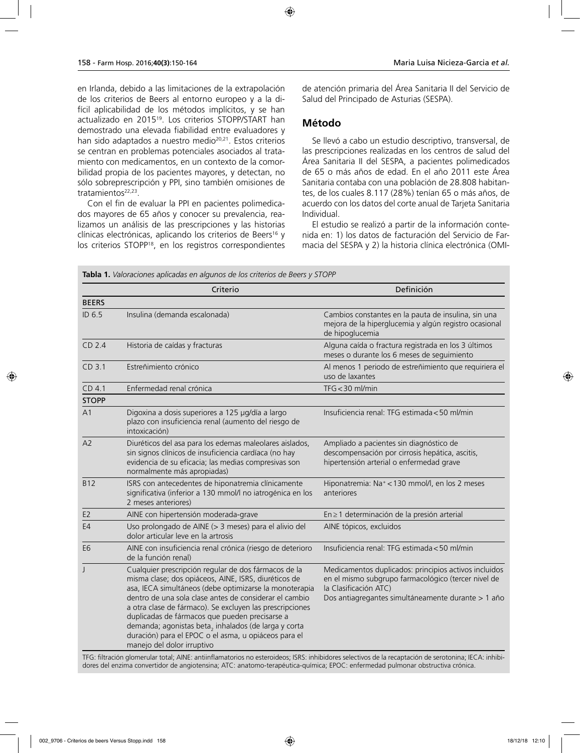en Irlanda, debido a las limitaciones de la extrapolación de los criterios de Beers al entorno europeo y a la difícil aplicabilidad de los métodos implícitos, y se han actualizado en 201519. Los criterios STOPP/START han demostrado una elevada fiabilidad entre evaluadores y han sido adaptados a nuestro medio<sup>20,21</sup>. Estos criterios se centran en problemas potenciales asociados al tratamiento con medicamentos, en un contexto de la comorbilidad propia de los pacientes mayores, y detectan, no sólo sobreprescripción y PPI, sino también omisiones de tratamientos<sup>22,23</sup>.

Con el fin de evaluar la PPI en pacientes polimedicados mayores de 65 años y conocer su prevalencia, realizamos un análisis de las prescripciones y las historias clínicas electrónicas, aplicando los criterios de Beers<sup>16</sup> y los criterios STOPP18, en los registros correspondientes

de atención primaria del Área Sanitaria II del Servicio de Salud del Principado de Asturias (SESPA).

### **Método**

Se llevó a cabo un estudio descriptivo, transversal, de las prescripciones realizadas en los centros de salud del Área Sanitaria II del SESPA, a pacientes polimedicados de 65 o más años de edad. En el año 2011 este Área Sanitaria contaba con una población de 28.808 habitantes, de los cuales 8.117 (28%) tenían 65 o más años, de acuerdo con los datos del corte anual de Tarjeta Sanitaria Individual.

El estudio se realizó a partir de la información contenida en: 1) los datos de facturación del Servicio de Farmacia del SESPA y 2) la historia clínica electrónica (OMI-

|                   | Criterio                                                                                                                                                                                                                                                                                                                                                                                                                                                                                     | Definición                                                                                                                                                                                  |
|-------------------|----------------------------------------------------------------------------------------------------------------------------------------------------------------------------------------------------------------------------------------------------------------------------------------------------------------------------------------------------------------------------------------------------------------------------------------------------------------------------------------------|---------------------------------------------------------------------------------------------------------------------------------------------------------------------------------------------|
| <b>BEERS</b>      |                                                                                                                                                                                                                                                                                                                                                                                                                                                                                              |                                                                                                                                                                                             |
| ID 6.5            | Insulina (demanda escalonada)                                                                                                                                                                                                                                                                                                                                                                                                                                                                | Cambios constantes en la pauta de insulina, sin una<br>mejora de la hiperglucemia y algún registro ocasional<br>de hipoglucemia                                                             |
| CD 2.4            | Historia de caídas y fracturas                                                                                                                                                                                                                                                                                                                                                                                                                                                               | Alguna caída o fractura registrada en los 3 últimos<br>meses o durante los 6 meses de seguimiento                                                                                           |
| CD <sub>3.1</sub> | Estreñimiento crónico                                                                                                                                                                                                                                                                                                                                                                                                                                                                        | Al menos 1 periodo de estreñimiento que requiriera el<br>uso de laxantes                                                                                                                    |
| CD <sub>4.1</sub> | Enfermedad renal crónica                                                                                                                                                                                                                                                                                                                                                                                                                                                                     | $TFG < 30$ ml/min                                                                                                                                                                           |
| <b>STOPP</b>      |                                                                                                                                                                                                                                                                                                                                                                                                                                                                                              |                                                                                                                                                                                             |
| A <sub>1</sub>    | Digoxina a dosis superiores a 125 µg/día a largo<br>plazo con insuficiencia renal (aumento del riesgo de<br>intoxicación)                                                                                                                                                                                                                                                                                                                                                                    | Insuficiencia renal: TFG estimada < 50 ml/min                                                                                                                                               |
| A2                | Diuréticos del asa para los edemas maleolares aislados,<br>sin signos clínicos de insuficiencia cardíaca (no hay<br>evidencia de su eficacia; las medias compresivas son<br>normalmente más apropiadas)                                                                                                                                                                                                                                                                                      | Ampliado a pacientes sin diagnóstico de<br>descompensación por cirrosis hepática, ascitis,<br>hipertensión arterial o enfermedad grave                                                      |
| <b>B12</b>        | ISRS con antecedentes de hiponatremia clínicamente<br>significativa (inferior a 130 mmol/l no iatrogénica en los<br>2 meses anteriores)                                                                                                                                                                                                                                                                                                                                                      | Hiponatremia: Na <sup>+</sup> < 130 mmol/l, en los 2 meses<br>anteriores                                                                                                                    |
| E <sub>2</sub>    | AINE con hipertensión moderada-grave                                                                                                                                                                                                                                                                                                                                                                                                                                                         | En ≥ 1 determinación de la presión arterial                                                                                                                                                 |
| E <sub>4</sub>    | Uso prolongado de AINE (> 3 meses) para el alivio del<br>dolor articular leve en la artrosis                                                                                                                                                                                                                                                                                                                                                                                                 | AINE tópicos, excluidos                                                                                                                                                                     |
| E <sub>6</sub>    | AINE con insuficiencia renal crónica (riesgo de deterioro<br>de la función renal)                                                                                                                                                                                                                                                                                                                                                                                                            | Insuficiencia renal: TFG estimada < 50 ml/min                                                                                                                                               |
| J                 | Cualquier prescripción regular de dos fármacos de la<br>misma clase; dos opiáceos, AINE, ISRS, diuréticos de<br>asa, IECA simultáneos (debe optimizarse la monoterapia<br>dentro de una sola clase antes de considerar el cambio<br>a otra clase de fármaco). Se excluyen las prescripciones<br>duplicadas de fármacos que pueden precisarse a<br>demanda; agonistas beta, inhalados (de larga y corta<br>duración) para el EPOC o el asma, u opiáceos para el<br>manejo del dolor irruptivo | Medicamentos duplicados: principios activos incluidos<br>en el mismo subgrupo farmacológico (tercer nivel de<br>la Clasificación ATC)<br>Dos antiagregantes simultáneamente durante > 1 año |

**Tabla 1.** *Valoraciones aplicadas en algunos de los criterios de Beers y STOPP*

TFG: filtración glomerular total; AINE: antiinflamatorios no esteroideos; ISRS: inhibidores selectivos de la recaptación de serotonina; IECA: inhibidores del enzima convertidor de angiotensina; ATC: anatomo-terapéutica-química; EPOC: enfermedad pulmonar obstructiva crónica.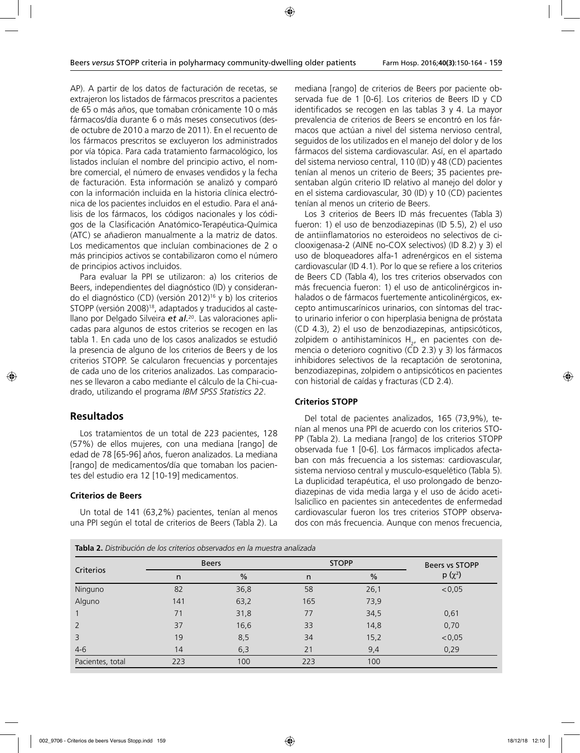AP). A partir de los datos de facturación de recetas, se extrajeron los listados de fármacos prescritos a pacientes de 65 o más años, que tomaban crónicamente 10 o más fármacos/día durante 6 o más meses consecutivos (desde octubre de 2010 a marzo de 2011). En el recuento de los fármacos prescritos se excluyeron los administrados por vía tópica. Para cada tratamiento farmacológico, los listados incluían el nombre del principio activo, el nombre comercial, el número de envases vendidos y la fecha de facturación. Esta información se analizó y comparó con la información incluida en la historia clínica electrónica de los pacientes incluidos en el estudio. Para el análisis de los fármacos, los códigos nacionales y los códigos de la Clasificación Anatómico-Terapéutica-Química (ATC) se añadieron manualmente a la matriz de datos. Los medicamentos que incluían combinaciones de 2 o más principios activos se contabilizaron como el número de principios activos incluidos.

Para evaluar la PPI se utilizaron: a) los criterios de Beers, independientes del diagnóstico (ID) y considerando el diagnóstico (CD) (versión 2012)16 y b) los criterios STOPP (versión 2008)<sup>18</sup>, adaptados y traducidos al castellano por Delgado Silveira *et al.*20. Las valoraciones aplicadas para algunos de estos criterios se recogen en las tabla 1. En cada uno de los casos analizados se estudió la presencia de alguno de los criterios de Beers y de los criterios STOPP. Se calcularon frecuencias y porcentajes de cada uno de los criterios analizados. Las comparaciones se llevaron a cabo mediante el cálculo de la Chi-cuadrado, utilizando el programa *IBM SPSS Statistics 22*.

## **Resultados**

Los tratamientos de un total de 223 pacientes, 128 (57%) de ellos mujeres, con una mediana [rango] de edad de 78 [65-96] años, fueron analizados. La mediana [rango] de medicamentos/día que tomaban los pacientes del estudio era 12 [10-19] medicamentos.

#### **Criterios de Beers**

Un total de 141 (63,2%) pacientes, tenían al menos una PPI según el total de criterios de Beers (Tabla 2). La

mediana [rango] de criterios de Beers por paciente observada fue de 1 [0-6]. Los criterios de Beers ID y CD identificados se recogen en las tablas 3 y 4. La mayor prevalencia de criterios de Beers se encontró en los fármacos que actúan a nivel del sistema nervioso central, seguidos de los utilizados en el manejo del dolor y de los fármacos del sistema cardiovascular. Así, en el apartado del sistema nervioso central, 110 (ID) y 48 (CD) pacientes tenían al menos un criterio de Beers; 35 pacientes presentaban algún criterio ID relativo al manejo del dolor y en el sistema cardiovascular, 30 (ID) y 10 (CD) pacientes tenían al menos un criterio de Beers.

Los 3 criterios de Beers ID más frecuentes (Tabla 3) fueron: 1) el uso de benzodiazepinas (ID 5.5), 2) el uso de antiinflamatorios no esteroideos no selectivos de ciclooxigenasa-2 (AINE no-COX selectivos) (ID 8.2) y 3) el uso de bloqueadores alfa-1 adrenérgicos en el sistema cardiovascular (ID 4.1). Por lo que se refiere a los criterios de Beers CD (Tabla 4), los tres criterios observados con más frecuencia fueron: 1) el uso de anticolinérgicos inhalados o de fármacos fuertemente anticolinérgicos, excepto antimuscarínicos urinarios, con síntomas del tracto urinario inferior o con hiperplasia benigna de próstata (CD 4.3), 2) el uso de benzodiazepinas, antipsicóticos, zolpidem o antihistamínicos  $H_2$ , en pacientes con demencia o deterioro cognitivo (CD 2.3) y 3) los fármacos inhibidores selectivos de la recaptación de serotonina, benzodiazepinas, zolpidem o antipsicóticos en pacientes con historial de caídas y fracturas (CD 2.4).

#### **Criterios STOPP**

Del total de pacientes analizados, 165 (73,9%), tenían al menos una PPI de acuerdo con los criterios STO-PP (Tabla 2). La mediana [rango] de los criterios STOPP observada fue 1 [0-6]. Los fármacos implicados afectaban con más frecuencia a los sistemas: cardiovascular, sistema nervioso central y musculo-esquelético (Tabla 5). La duplicidad terapéutica, el uso prolongado de benzodiazepinas de vida media larga y el uso de ácido acetilsalicílico en pacientes sin antecedentes de enfermedad cardiovascular fueron los tres criterios STOPP observados con más frecuencia. Aunque con menos frecuencia,

|                  | <b>Beers</b> |      | <b>STOPP</b> | Beers vs STOPP |          |
|------------------|--------------|------|--------------|----------------|----------|
| Criterios        | n            | $\%$ | n            | $\frac{0}{0}$  | $p(x^2)$ |
| Ninguno          | 82           | 36,8 | 58           | 26,1           | < 0.05   |
| Alguno           | 141          | 63,2 | 165          | 73,9           |          |
|                  | 71           | 31,8 | 77           | 34,5           | 0,61     |
| 2                | 37           | 16,6 | 33           | 14,8           | 0,70     |
| 3                | 19           | 8,5  | 34           | 15,2           | < 0.05   |
| $4 - 6$          | 14           | 6,3  | 21           | 9,4            | 0,29     |
| Pacientes, total | 223          | 100  | 223          | 100            |          |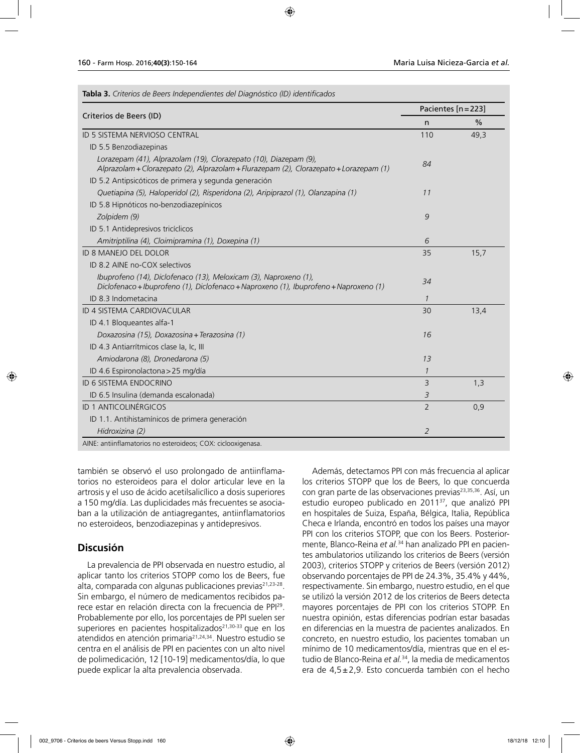| Criterios de Beers (ID)                                                                                                                                    |                | Pacientes [n = 223] |  |  |
|------------------------------------------------------------------------------------------------------------------------------------------------------------|----------------|---------------------|--|--|
|                                                                                                                                                            | n              | %                   |  |  |
| ID 5 SISTEMA NERVIOSO CENTRAL                                                                                                                              | 110            | 49,3                |  |  |
| ID 5.5 Benzodiazepinas                                                                                                                                     |                |                     |  |  |
| Lorazepam (41), Alprazolam (19), Clorazepato (10), Diazepam (9),<br>Alprazolam + Clorazepato (2), Alprazolam + Flurazepam (2), Clorazepato + Lorazepam (1) | 84             |                     |  |  |
| ID 5.2 Antipsicóticos de primera y segunda generación                                                                                                      |                |                     |  |  |
| Quetiapina (5), Haloperidol (2), Risperidona (2), Aripiprazol (1), Olanzapina (1)                                                                          | 11             |                     |  |  |
| ID 5.8 Hipnóticos no-benzodiazepínicos                                                                                                                     |                |                     |  |  |
| Zolpidem (9)                                                                                                                                               | 9              |                     |  |  |
| ID 5.1 Antidepresivos tricíclicos                                                                                                                          |                |                     |  |  |
| Amitriptilina (4), Cloimipramina (1), Doxepina (1)                                                                                                         | 6              |                     |  |  |
| ID 8 MANEJO DEL DOLOR                                                                                                                                      | 35             | 15,7                |  |  |
| ID 8.2 AINE no-COX selectivos                                                                                                                              |                |                     |  |  |
| Ibuprofeno (14), Diclofenaco (13), Meloxicam (3), Naproxeno (1),<br>Diclofenaco + Ibuprofeno (1), Diclofenaco + Naproxeno (1), Ibuprofeno + Naproxeno (1)  | 34             |                     |  |  |
| ID 8.3 Indometacina                                                                                                                                        | 1              |                     |  |  |
| ID 4 SISTEMA CARDIOVACULAR                                                                                                                                 | 30             | 13,4                |  |  |
| ID 4.1 Bloqueantes alfa-1                                                                                                                                  |                |                     |  |  |
| Doxazosina (15), Doxazosina + Terazosina (1)                                                                                                               | 16             |                     |  |  |
| ID 4.3 Antiarrítmicos clase la, Ic, III                                                                                                                    |                |                     |  |  |
| Amiodarona (8), Dronedarona (5)                                                                                                                            | 13             |                     |  |  |
| ID 4.6 Espironolactona > 25 mg/día                                                                                                                         | $\mathcal{I}$  |                     |  |  |
| <b>ID 6 SISTEMA ENDOCRINO</b>                                                                                                                              | $\overline{3}$ | 1,3                 |  |  |
| ID 6.5 Insulina (demanda escalonada)                                                                                                                       | 3              |                     |  |  |
| ID 1 ANTICOLINÉRGICOS                                                                                                                                      | $\overline{2}$ | 0,9                 |  |  |
| ID 1.1. Antihistamínicos de primera generación                                                                                                             |                |                     |  |  |
| Hidroxizina (2)                                                                                                                                            | 2              |                     |  |  |

también se observó el uso prolongado de antiinflamatorios no esteroideos para el dolor articular leve en la artrosis y el uso de ácido acetilsalicílico a dosis superiores a 150 mg/día. Las duplicidades más frecuentes se asociaban a la utilización de antiagregantes, antiinflamatorios no esteroideos, benzodiazepinas y antidepresivos.

## **Discusión**

La prevalencia de PPI observada en nuestro estudio, al aplicar tanto los criterios STOPP como los de Beers, fue alta, comparada con algunas publicaciones previas $21,23-28$ . Sin embargo, el número de medicamentos recibidos parece estar en relación directa con la frecuencia de PPI29. Probablemente por ello, los porcentajes de PPI suelen ser superiores en pacientes hospitalizados<sup>21,30-33</sup> que en los atendidos en atención primaria<sup>21,24,34</sup>. Nuestro estudio se centra en el análisis de PPI en pacientes con un alto nivel de polimedicación, 12 [10-19] medicamentos/día, lo que puede explicar la alta prevalencia observada.

Además, detectamos PPI con más frecuencia al aplicar los criterios STOPP que los de Beers, lo que concuerda con gran parte de las observaciones previas<sup>23,35,36</sup>. Así, un estudio europeo publicado en 201137, que analizó PPI en hospitales de Suiza, España, Bélgica, Italia, República Checa e Irlanda, encontró en todos los países una mayor PPI con los criterios STOPP, que con los Beers. Posteriormente, Blanco-Reina *et al.*34 han analizado PPI en pacientes ambulatorios utilizando los criterios de Beers (versión 2003), criterios STOPP y criterios de Beers (versión 2012) observando porcentajes de PPI de 24.3%, 35.4% y 44%, respectivamente. Sin embargo, nuestro estudio, en el que se utilizó la versión 2012 de los criterios de Beers detecta mayores porcentajes de PPI con los criterios STOPP. En nuestra opinión, estas diferencias podrían estar basadas en diferencias en la muestra de pacientes analizados. En concreto, en nuestro estudio, los pacientes tomaban un mínimo de 10 medicamentos/día, mientras que en el estudio de Blanco-Reina *et al.*34, la media de medicamentos era de 4,5±2,9. Esto concuerda también con el hecho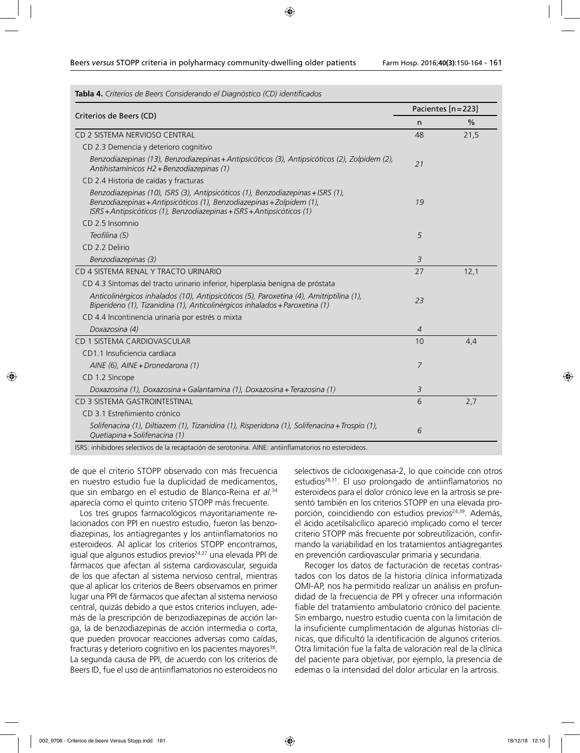| Tabla 4. Criterios de Beers Considerando el Diagnóstico (CD) identificados                                                                                                                                                         |                |                     |  |
|------------------------------------------------------------------------------------------------------------------------------------------------------------------------------------------------------------------------------------|----------------|---------------------|--|
| Criterios de Beers (CD)                                                                                                                                                                                                            |                | Pacientes [n = 223] |  |
|                                                                                                                                                                                                                                    |                | $\frac{0}{0}$       |  |
| CD 2 SISTEMA NERVIOSO CENTRAL                                                                                                                                                                                                      | 48             | 21,5                |  |
| CD 2.3 Demencia y deterioro cognitivo                                                                                                                                                                                              |                |                     |  |
| Benzodiazepinas (13), Benzodiazepinas + Antipsicóticos (3), Antipsicóticos (2), Zolpidem (2),<br>Antihistamínicos H2 + Benzodiazepinas (1)                                                                                         | 21             |                     |  |
| CD 2.4 Historia de caídas y fracturas                                                                                                                                                                                              |                |                     |  |
| Benzodiazepinas (10), ISRS (3), Antipsicóticos (1), Benzodiazepinas + ISRS (1),<br>Benzodiazepinas + Antipsicóticos (1), Benzodiazepinas + Zolpidem (1),<br>ISRS + Antipsicóticos (1), Benzodiazepinas + ISRS + Antipsicóticos (1) | 19             |                     |  |
| CD 2.5 Insomnio                                                                                                                                                                                                                    |                |                     |  |
| Teofilina (5)                                                                                                                                                                                                                      | 5              |                     |  |
| CD 2.2 Delirio                                                                                                                                                                                                                     |                |                     |  |
| Benzodiazepinas (3)                                                                                                                                                                                                                | 3              |                     |  |
| CD 4 SISTEMA RENAL Y TRACTO URINARIO                                                                                                                                                                                               | 27             | 12,1                |  |
| CD 4.3 Síntomas del tracto urinario inferior, hiperplasia benigna de próstata                                                                                                                                                      |                |                     |  |
| Anticolinérgicos inhalados (10), Antipsicóticos (5), Paroxetina (4), Amitriptilina (1),<br>Biperideno (1), Tizanidina (1), Anticolinérgicos inhalados + Paroxetina (1)                                                             | 23             |                     |  |
| CD 4.4 Incontinencia urinaria por estrés o mixta                                                                                                                                                                                   |                |                     |  |
| Doxazosina (4)                                                                                                                                                                                                                     | $\overline{4}$ |                     |  |
| CD 1 SISTEMA CARDIOVASCULAR                                                                                                                                                                                                        | 10             | 4,4                 |  |
| CD1.1 Insuficiencia cardíaca                                                                                                                                                                                                       |                |                     |  |
| AINE (6), AINE + Dronedarona (1)                                                                                                                                                                                                   | 7              |                     |  |
| CD 1.2 Síncope                                                                                                                                                                                                                     |                |                     |  |
| Doxazosina (1), Doxazosina + Galantamina (1), Doxazosina + Terazosina (1)                                                                                                                                                          | 3              |                     |  |
| CD 3 SISTEMA GASTROINTESTINAL                                                                                                                                                                                                      | 6              | 2,7                 |  |
| CD 3.1 Estreñimiento crónico                                                                                                                                                                                                       |                |                     |  |
| Solifenacina (1), Diltiazem (1), Tizanidina (1), Risperidona (1), Solifenacina + Trospio (1),<br>Quetiapina + Solifenacina (1)                                                                                                     | 6              |                     |  |
| $-11111$<br>$\cdots$ $\cdots$                                                                                                                                                                                                      |                |                     |  |

ISRS: inhibidores selectivos de la recaptación de serotonina. AINE: antiinflamatorios no esteroideos.

de que el criterio STOPP observado con más frecuencia en nuestro estudio fue la duplicidad de medicamentos, que sin embargo en el estudio de Blanco-Reina *et al.*<sup>34</sup> aparecía como el quinto criterio STOPP más frecuente.

Los tres grupos farmacológicos mayoritariamente relacionados con PPI en nuestro estudio, fueron las benzodiazepinas, los antiagregantes y los antiinflamatorios no esteroideos. Al aplicar los criterios STOPP encontramos, igual que algunos estudios previos<sup>24,27</sup> una elevada PPI de fármacos que afectan al sistema cardiovascular, seguida de los que afectan al sistema nervioso central, mientras que al aplicar los criterios de Beers observamos en primer lugar una PPI de fármacos que afectan al sistema nervioso central, quizás debido a que estos criterios incluyen, además de la prescripción de benzodiazepinas de acción larga, la de benzodiazepinas de acción intermedia o corta, que pueden provocar reacciones adversas como caídas, fracturas y deterioro cognitivo en los pacientes mayores<sup>38</sup>. La segunda causa de PPI, de acuerdo con los criterios de Beers ID, fue el uso de antiinflamatorios no esteroideos no

selectivos de ciclooxigenasa-2, lo que coincide con otros estudios<sup>28,31</sup>. El uso prolongado de antiinflamatorios no esteroideos para el dolor crónico leve en la artrosis se presentó también en los criterios STOPP en una elevada proporción, coincidiendo con estudios previos<sup>24,39</sup>. Además, el ácido acetilsalicílico apareció implicado como el tercer criterio STOPP más frecuente por sobreutilización, confirmando la variabilidad en los tratamientos antiagregantes en prevención cardiovascular primaria y secundaria.

Recoger los datos de facturación de recetas contrastados con los datos de la historia clínica informatizada OMI-AP, nos ha permitido realizar un análisis en profundidad de la frecuencia de PPI y ofrecer una información fiable del tratamiento ambulatorio crónico del paciente. Sin embargo, nuestro estudio cuenta con la limitación de la insuficiente cumplimentación de algunas historias clínicas, que dificultó la identificación de algunos criterios. Otra limitación fue la falta de valoración real de la clínica del paciente para objetivar, por ejemplo, la presencia de edemas o la intensidad del dolor articular en la artrosis.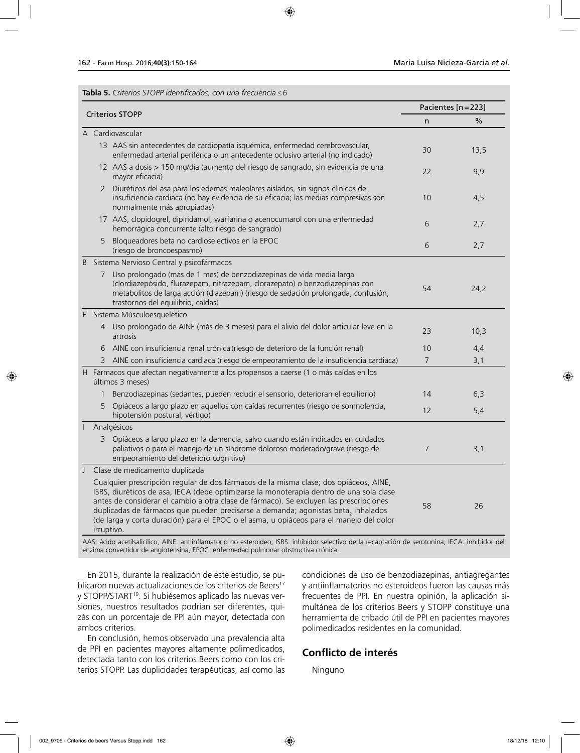| <b>Tabla 5.</b> Criterios STOPP identificados, con una frecuencia ≤ 6 |  |
|-----------------------------------------------------------------------|--|
|-----------------------------------------------------------------------|--|

| <b>Criterios STOPP</b> |                   | Pacientes [n = 223]                                                                                                                                                                                                                                                                                                                                                                                                                                                                     |                |      |
|------------------------|-------------------|-----------------------------------------------------------------------------------------------------------------------------------------------------------------------------------------------------------------------------------------------------------------------------------------------------------------------------------------------------------------------------------------------------------------------------------------------------------------------------------------|----------------|------|
|                        |                   | n                                                                                                                                                                                                                                                                                                                                                                                                                                                                                       | %              |      |
|                        |                   | A Cardiovascular                                                                                                                                                                                                                                                                                                                                                                                                                                                                        |                |      |
|                        |                   | 13 AAS sin antecedentes de cardiopatía isquémica, enfermedad cerebrovascular,<br>enfermedad arterial periférica o un antecedente oclusivo arterial (no indicado)                                                                                                                                                                                                                                                                                                                        | 30             | 13,5 |
|                        |                   | 12 AAS a dosis > 150 mg/día (aumento del riesgo de sangrado, sin evidencia de una<br>mayor eficacia)                                                                                                                                                                                                                                                                                                                                                                                    | 22             | 9,9  |
|                        | 2                 | Diuréticos del asa para los edemas maleolares aislados, sin signos clínicos de<br>insuficiencia cardiaca (no hay evidencia de su eficacia; las medias compresivas son<br>normalmente más apropiadas)                                                                                                                                                                                                                                                                                    | 10             | 4,5  |
|                        |                   | 17 AAS, clopidogrel, dipiridamol, warfarina o acenocumarol con una enfermedad<br>hemorrágica concurrente (alto riesgo de sangrado)                                                                                                                                                                                                                                                                                                                                                      | 6              | 2,7  |
|                        | 5                 | Bloqueadores beta no cardioselectivos en la EPOC<br>(riesgo de broncoespasmo)                                                                                                                                                                                                                                                                                                                                                                                                           | 6              | 2,7  |
| Β                      |                   | Sistema Nervioso Central y psicofármacos                                                                                                                                                                                                                                                                                                                                                                                                                                                |                |      |
|                        | 7                 | Uso prolongado (más de 1 mes) de benzodiazepinas de vida media larga<br>(clordiazepósido, flurazepam, nitrazepam, clorazepato) o benzodiazepinas con<br>metabolitos de larga acción (diazepam) (riesgo de sedación prolongada, confusión,<br>trastornos del equilibrio, caídas)                                                                                                                                                                                                         | 54             | 24,2 |
|                        |                   | E Sistema Músculoesquelético                                                                                                                                                                                                                                                                                                                                                                                                                                                            |                |      |
|                        |                   | 4 Uso prolongado de AINE (más de 3 meses) para el alivio del dolor articular leve en la<br>artrosis                                                                                                                                                                                                                                                                                                                                                                                     | 23             | 10,3 |
|                        | 6                 | AINE con insuficiencia renal crónica (riesgo de deterioro de la función renal)                                                                                                                                                                                                                                                                                                                                                                                                          | 10             | 4,4  |
|                        | 3                 | AINE con insuficiencia cardiaca (riesgo de empeoramiento de la insuficiencia cardiaca)                                                                                                                                                                                                                                                                                                                                                                                                  | $\overline{7}$ | 3,1  |
|                        |                   | H Fármacos que afectan negativamente a los propensos a caerse (1 o más caídas en los<br>últimos 3 meses)                                                                                                                                                                                                                                                                                                                                                                                |                |      |
|                        | $\mathbf{1}$      | Benzodiazepinas (sedantes, pueden reducir el sensorio, deterioran el equilibrio)                                                                                                                                                                                                                                                                                                                                                                                                        | 14             | 6,3  |
|                        | 5                 | Opiáceos a largo plazo en aquellos con caídas recurrentes (riesgo de somnolencia,<br>hipotensión postural, vértigo)                                                                                                                                                                                                                                                                                                                                                                     | 12             | 5,4  |
|                        |                   | Analgésicos                                                                                                                                                                                                                                                                                                                                                                                                                                                                             |                |      |
|                        |                   | 3 Opiáceos a largo plazo en la demencia, salvo cuando están indicados en cuidados<br>paliativos o para el manejo de un síndrome doloroso moderado/grave (riesgo de<br>empeoramiento del deterioro cognitivo)                                                                                                                                                                                                                                                                            | 7              | 3,1  |
| J                      |                   | Clase de medicamento duplicada                                                                                                                                                                                                                                                                                                                                                                                                                                                          |                |      |
|                        | $AC \leftarrow C$ | Cualquier prescripción regular de dos fármacos de la misma clase; dos opiáceos, AINE,<br>ISRS, diuréticos de asa, IECA (debe optimizarse la monoterapia dentro de una sola clase<br>antes de considerar el cambio a otra clase de fármaco). Se excluyen las prescripciones<br>duplicadas de fármacos que pueden precisarse a demanda; agonistas beta, inhalados<br>(de larga y corta duración) para el EPOC o el asma, u opiáceos para el manejo del dolor<br>irruptivo.<br>(内容の) ドライビー | 58             | 26   |

AAS: ácido acetilsalicílico; AINE: antiinflamatorio no esteroideo; ISRS: inhibidor selectivo de la recaptación de serotonina; IECA: inhibidor del enzima convertidor de angiotensina; EPOC: enfermedad pulmonar obstructiva crónica.

En 2015, durante la realización de este estudio, se publicaron nuevas actualizaciones de los criterios de Beers<sup>17</sup> y STOPP/START19. Si hubiésemos aplicado las nuevas versiones, nuestros resultados podrían ser diferentes, quizás con un porcentaje de PPI aún mayor, detectada con ambos criterios.

En conclusión, hemos observado una prevalencia alta de PPI en pacientes mayores altamente polimedicados, detectada tanto con los criterios Beers como con los criterios STOPP. Las duplicidades terapéuticas, así como las condiciones de uso de benzodiazepinas, antiagregantes y antiinflamatorios no esteroideos fueron las causas más frecuentes de PPI. En nuestra opinión, la aplicación simultánea de los criterios Beers y STOPP constituye una herramienta de cribado útil de PPI en pacientes mayores polimedicados residentes en la comunidad.

## **Conflicto de interés**

Ninguno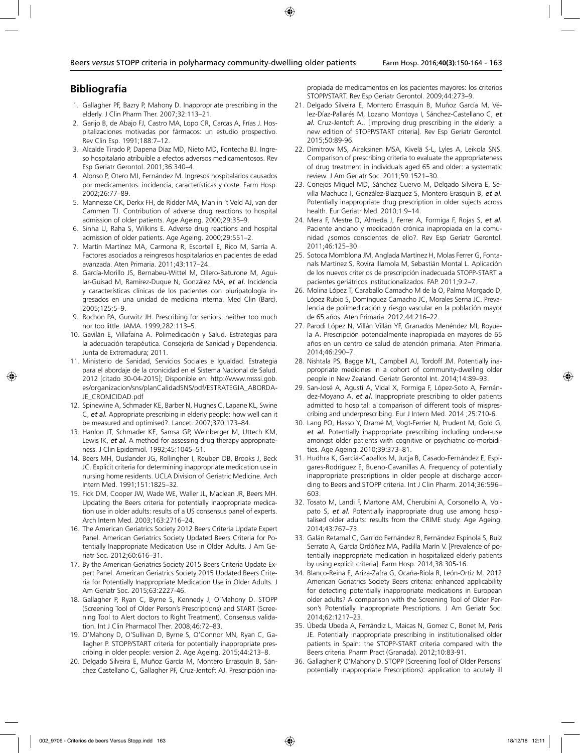# **Bibliografía**

- 1. Gallagher PF, Bazry P, Mahony D. Inappropriate prescribing in the elderly. J Clin Pharm Ther. 2007;32:113–21.
- 2. Garijo B, de Abajo FJ, Castro MA, Lopo CR, Carcas A, Frías J. Hospitalizaciones motivadas por fármacos: un estudio prospectivo. Rev Clin Esp. 1991;188:7–12.
- 3. Alcalde Tirado P, Dapena Díaz MD, Nieto MD, Fontecha BJ. Ingreso hospitalario atribuible a efectos adversos medicamentosos. Rev Esp Geriatr Gerontol. 2001;36:340–4.
- 4. Alonso P, Otero MJ, Fernández M. Ingresos hospitalarios causados por medicamentos: incidencia, características y coste. Farm Hosp. 2002;26:77–89.
- 5. Mannesse CK, Derkx FH, de Ridder MA, Man in 't Veld AJ, van der Cammen TJ. Contribution of adverse drug reactions to hospital admission of older patients. Age Ageing. 2000;29:35–9.
- 6. Sinha U, Raha S, Wilkins E. Adverse drug reactions and hospital admission of older patients. Age Ageing. 2000;29:551–2.
- 7. Martín Martínez MA, Carmona R, Escortell E, Rico M, Sarría A. Factores asociados a reingresos hospitalarios en pacientes de edad avanzada. Aten Primaria. 2011;43:117–24.
- 8. García-Morillo JS, Bernabeu-Wittel M, Ollero-Baturone M, Aguilar-Guisad M, Ramírez-Duque N, González MA, *et al.* Incidencia y características clínicas de los pacientes con pluripatología ingresados en una unidad de medicina interna. Med Clin (Barc). 2005;125:5–9.
- 9. Rochon PA, Gurwitz JH. Prescribing for seniors: neither too much nor too little. JAMA. 1999;282:113–5.
- 10. Gavilán E, Villafaina A. Polimedicación y Salud. Estrategias para la adecuación terapéutica. Consejería de Sanidad y Dependencia. Junta de Extremadura; 2011.
- 11. Ministerio de Sanidad, Servicios Sociales e Igualdad. Estrategia para el abordaje de la cronicidad en el Sistema Nacional de Salud. 2012 [citado 30-04-2015]; Disponible en: http://www.msssi.gob. es/organizacion/sns/planCalidadSNS/pdf/ESTRATEGIA\_ABORDA-JE\_CRONICIDAD.pdf
- 12. Spinewine A, Schmader KE, Barber N, Hughes C, Lapane KL, Swine C, *et al.* Appropriate prescribing in elderly people: how well can it be measured and optimised?. Lancet. 2007;370:173–84.
- 13. Hanlon JT, Schmader KE, Samsa GP, Weinberger M, Uttech KM, Lewis IK, *et al.* A method for assessing drug therapy appropriateness. J Clin Epidemiol. 1992;45:1045–51.
- 14. Beers MH, Ouslander JG, Rollingher I, Reuben DB, Brooks J, Beck JC. Explicit criteria for determining inappropriate medication use in nursing home residents. UCLA Division of Geriatric Medicine. Arch Intern Med. 1991;151:1825–32.
- 15. Fick DM, Cooper JW, Wade WE, Waller JL, Maclean JR, Beers MH. Updating the Beers criteria for potentially inappropriate medication use in older adults: results of a US consensus panel of experts. Arch Intern Med. 2003;163:2716–24.
- 16. The American Geriatrics Society 2012 Beers Criteria Update Expert Panel. American Geriatrics Society Updated Beers Criteria for Potentially Inappropriate Medication Use in Older Adults. J Am Geriatr Soc. 2012;60:616–31.
- 17. By the American Geriatrics Society 2015 Beers Criteria Update Expert Panel. American Geriatrics Society 2015 Updated Beers Criteria for Potentially Inappropriate Medication Use in Older Adults. J Am Geriatr Soc. 2015;63:2227-46.
- 18. Gallagher P, Ryan C, Byrne S, Kennedy J, O'Mahony D. STOPP (Screening Tool of Older Person's Prescriptions) and START (Screening Tool to Alert doctors to Right Treatment). Consensus validation. Int J Clin Pharmacol Ther. 2008;46:72–83.
- 19. O'Mahony D, O'Sullivan D, Byrne S, O'Connor MN, Ryan C, Gallagher P. STOPP/START criteria for potentially inappropriate prescribing in older people: version 2. Age Ageing. 2015;44:213–8.
- 20. Delgado Silveira E, Muñoz García M, Montero Errasquín B, Sánchez Castellano C, Gallagher PF, Cruz-Jentoft AJ. Prescripción ina-

propiada de medicamentos en los pacientes mayores: los criterios STOPP/START. Rev Esp Geriatr Gerontol. 2009;44:273–9.

- 21. Delgado Silveira E, Montero Errasquín B, Muñoz García M, Vélez-Díaz-Pallarés M, Lozano Montoya I, Sánchez-Castellano C, *et al.* Cruz-Jentoft AJ. [Improving drug prescribing in the elderly: a new edition of STOPP/START criteria]. Rev Esp Geriatr Gerontol. 2015;50:89-96.
- 22. Dimitrow MS, Airaksinen MSA, Kivelä S-L, Lyles A, Leikola SNS. Comparison of prescribing criteria to evaluate the appropriateness of drug treatment in individuals aged 65 and older: a systematic review. J Am Geriatr Soc. 2011;59:1521–30.
- 23. Conejos Miquel MD, Sánchez Cuervo M, Delgado Silveira E, Sevilla Machuca I, González-Blazquez S, Montero Erasquin B, *et al.* Potentially inappropriate drug prescription in older sujects across health. Eur Geriatr Med. 2010;1:9–14.
- 24. Mera F, Mestre D, Almeda J, Ferrer A, Formiga F, Rojas S, *et al.* Paciente anciano y medicación crónica inapropiada en la comunidad ¿somos conscientes de ello?. Rev Esp Geriatr Gerontol. 2011;46:125–30.
- 25. Sotoca Momblona JM, Anglada Martínez H, Molas Ferrer G, Fontanals Martínez S, Rovira Illamola M, Sebastián Montal L. Aplicación de los nuevos criterios de prescripción inadecuada STOPP-START a pacientes geriátricos institucionalizados. FAP. 2011;9:2–7.
- 26. Molina López T, Caraballo Camacho M de la O, Palma Morgado D, López Rubio S, Domínguez Camacho JC, Morales Serna JC. Prevalencia de polimedicación y riesgo vascular en la población mayor de 65 años. Aten Primaria. 2012;44:216–22.
- 27. Parodi López N, Villán Villán YF, Granados Menéndez MI, Royuela A. Prescripción potencialmente inapropiada en mayores de 65 años en un centro de salud de atención primaria. Aten Primaria. 2014;46:290–7.
- 28. Nishtala PS, Bagge ML, Campbell AJ, Tordoff JM. Potentially inappropriate medicines in a cohort of community-dwelling older people in New Zealand. Geriatr Gerontol Int. 2014;14:89–93.
- 29. San-José A, Agustí A, Vidal X, Formiga F, López-Soto A, Fernández-Moyano A, *et al.* Inappropriate prescribing to older patients admitted to hospital: a comparison of different tools of misprescribing and underprescribing. Eur J Intern Med. 2014 ;25:710-6.
- 30. Lang PO, Hasso Y, Dramé M, Vogt-Ferrier N, Prudent M, Gold G, *et al.* Potentially inappropriate prescribing including under-use amongst older patients with cognitive or psychiatric co-morbidities. Age Ageing. 2010;39:373–81.
- 31. Hudhra K, García-Caballos M, Jucja B, Casado-Fernández E, Espigares-Rodriguez E, Bueno-Cavanillas A. Frequency of potentially inappropriate prescriptions in older people at discharge according to Beers and STOPP criteria. Int J Clin Pharm. 2014;36:596– 603.
- 32. Tosato M, Landi F, Martone AM, Cherubini A, Corsonello A, Volpato S, *et al.* Potentially inappropriate drug use among hospitalised older adults: results from the CRIME study. Age Ageing. 2014;43:767–73.
- 33. Galán Retamal C, Garrido Fernández R, Fernández Espínola S, Ruiz Serrato A, García Ordóñez MA, Padilla Marín V. [Prevalence of potentially inappropriate medication in hospitalized elderly patients by using explicit criteria]. Farm Hosp. 2014;38:305-16.
- 34. Blanco-Reina E, Ariza-Zafra G, Ocaña-Riola R, León-Ortiz M. 2012 American Geriatrics Society Beers criteria: enhanced applicability for detecting potentially inappropriate medications in European older adults? A comparison with the Screening Tool of Older Person's Potentially Inappropriate Prescriptions. J Am Geriatr Soc. 2014;62:1217–23.
- 35. Úbeda Ubeda A, Ferrándiz L, Maicas N, Gomez C, Bonet M, Peris JE. Potentially inappropriate prescribing in institutionalised older patients in Spain: the STOPP-START criteria compared with the Beers criteria. Pharm Pract (Granada). 2012;10:83-91.
- 36. Gallagher P, O'Mahony D. STOPP (Screening Tool of Older Persons' potentially inappropriate Prescriptions): application to acutely ill